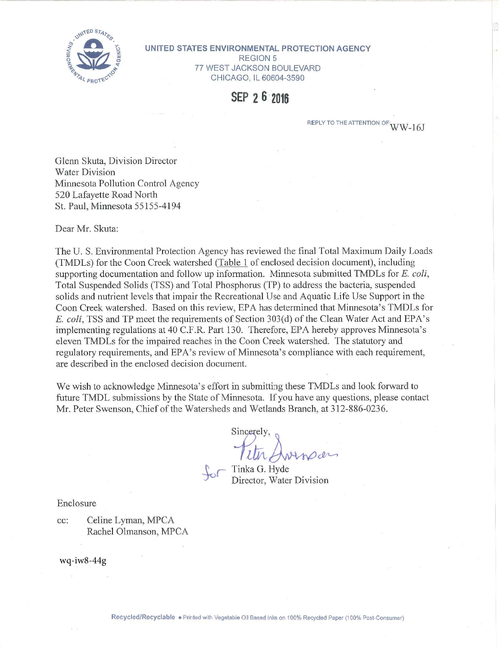

UNITED STATES ENVIRONMENTAL PROTECTION AGENCY **REGION 5** 77 WEST JACKSON BOULEVARD CHICAGO, IL 60604-3590

SEP 2 6 2016

REPLY TO THE ATTENTION OF  $WW-16J$ 

Glenn Skuta, Division Director **Water Division** Minnesota Pollution Control Agency 520 Lafayette Road North St. Paul, Minnesota 55155-4194

Dear Mr. Skuta:

The U.S. Environmental Protection Agency has reviewed the final Total Maximum Daily Loads (TMDLs) for the Coon Creek watershed (Table 1 of enclosed decision document), including supporting documentation and follow up information. Minnesota submitted TMDLs for E. coli, Total Suspended Solids (TSS) and Total Phosphorus (TP) to address the bacteria, suspended solids and nutrient levels that impair the Recreational Use and Aquatic Life Use Support in the Coon Creek watershed. Based on this review, EPA has determined that Minnesota's TMDLs for E. coli, TSS and TP meet the requirements of Section 303(d) of the Clean Water Act and EPA's implementing regulations at 40 C.F.R. Part 130. Therefore, EPA hereby approves Minnesota's eleven TMDLs for the impaired reaches in the Coon Creek watershed. The statutory and regulatory requirements, and EPA's review of Minnesota's compliance with each requirement, are described in the enclosed decision document.

We wish to acknowledge Minnesota's effort in submitting these TMDLs and look forward to future TMDL submissions by the State of Minnesota. If you have any questions, please contact Mr. Peter Swenson, Chief of the Watersheds and Wetlands Branch, at 312-886-0236.

Sincerely

Tinka G. Hyde Director, Water Division

Enclosure

cc: Celine Lyman, MPCA Rachel Olmanson, MPCA

wq-iw8-44g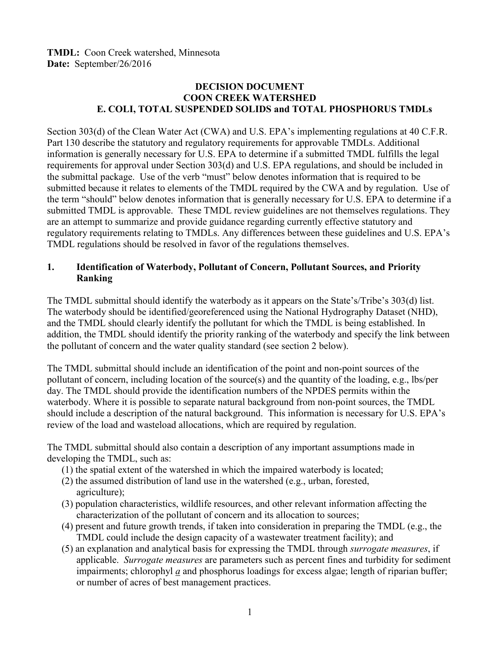## **DECISION DOCUMENT COON CREEK WATERSHED E. COLI, TOTAL SUSPENDED SOLIDS and TOTAL PHOSPHORUS TMDLs**

Section 303(d) of the Clean Water Act (CWA) and U.S. EPA's implementing regulations at 40 C.F.R. Part 130 describe the statutory and regulatory requirements for approvable TMDLs. Additional information is generally necessary for U.S. EPA to determine if a submitted TMDL fulfills the legal requirements for approval under Section 303(d) and U.S. EPA regulations, and should be included in the submittal package. Use of the verb "must" below denotes information that is required to be submitted because it relates to elements of the TMDL required by the CWA and by regulation. Use of the term "should" below denotes information that is generally necessary for U.S. EPA to determine if a submitted TMDL is approvable. These TMDL review guidelines are not themselves regulations. They are an attempt to summarize and provide guidance regarding currently effective statutory and regulatory requirements relating to TMDLs. Any differences between these guidelines and U.S. EPA's TMDL regulations should be resolved in favor of the regulations themselves.

## **1. Identification of Waterbody, Pollutant of Concern, Pollutant Sources, and Priority Ranking**

The TMDL submittal should identify the waterbody as it appears on the State's/Tribe's 303(d) list. The waterbody should be identified/georeferenced using the National Hydrography Dataset (NHD), and the TMDL should clearly identify the pollutant for which the TMDL is being established. In addition, the TMDL should identify the priority ranking of the waterbody and specify the link between the pollutant of concern and the water quality standard (see section 2 below).

The TMDL submittal should include an identification of the point and non-point sources of the pollutant of concern, including location of the source(s) and the quantity of the loading, e.g., lbs/per day. The TMDL should provide the identification numbers of the NPDES permits within the waterbody. Where it is possible to separate natural background from non-point sources, the TMDL should include a description of the natural background. This information is necessary for U.S. EPA's review of the load and wasteload allocations, which are required by regulation.

The TMDL submittal should also contain a description of any important assumptions made in developing the TMDL, such as:

- (1) the spatial extent of the watershed in which the impaired waterbody is located;
- (2) the assumed distribution of land use in the watershed (e.g., urban, forested, agriculture);
- (3) population characteristics, wildlife resources, and other relevant information affecting the characterization of the pollutant of concern and its allocation to sources;
- (4) present and future growth trends, if taken into consideration in preparing the TMDL (e.g., the TMDL could include the design capacity of a wastewater treatment facility); and
- (5) an explanation and analytical basis for expressing the TMDL through *surrogate measures*, if applicable. *Surrogate measures* are parameters such as percent fines and turbidity for sediment impairments; chlorophyl *a* and phosphorus loadings for excess algae; length of riparian buffer; or number of acres of best management practices.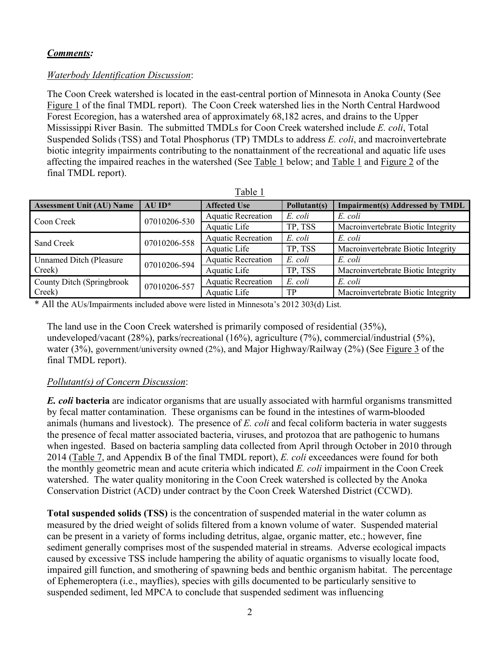## *Comments:*

## *Waterbody Identification Discussion*:

The Coon Creek watershed is located in the east-central portion of Minnesota in Anoka County (See Figure 1 of the final TMDL report). The Coon Creek watershed lies in the North Central Hardwood Forest Ecoregion, has a watershed area of approximately 68,182 acres, and drains to the Upper Mississippi River Basin. The submitted TMDLs for Coon Creek watershed include *E. coli*, Total Suspended Solids (TSS) and Total Phosphorus (TP) TMDLs to address *E. coli*, and macroinvertebrate biotic integrity impairments contributing to the nonattainment of the recreational and aquatic life uses affecting the impaired reaches in the watershed (See Table 1 below; and Table 1 and Figure 2 of the final TMDL report).

| <b>Assessment Unit (AU) Name</b> | $AU$ ID*     | <b>Affected Use</b>       | Pollutant(s) | <b>Impairment(s) Addressed by TMDL</b>                                                                                                                                                |
|----------------------------------|--------------|---------------------------|--------------|---------------------------------------------------------------------------------------------------------------------------------------------------------------------------------------|
| Coon Creek                       | 07010206-530 | <b>Aquatic Recreation</b> | E. coli      | E. coli                                                                                                                                                                               |
|                                  |              | Aquatic Life              | TP, TSS      | Macroinvertebrate Biotic Integrity<br>E. coli<br>Macroinvertebrate Biotic Integrity<br>E. coli<br>Macroinvertebrate Biotic Integrity<br>E. coli<br>Macroinvertebrate Biotic Integrity |
| Sand Creek                       | 07010206-558 | <b>Aquatic Recreation</b> | E. coli      |                                                                                                                                                                                       |
|                                  |              | Aquatic Life              | TP, TSS      |                                                                                                                                                                                       |
| <b>Unnamed Ditch (Pleasure</b> ) | 07010206-594 | <b>Aquatic Recreation</b> | E. coli      |                                                                                                                                                                                       |
| Creek)                           |              | Aquatic Life              | TP, TSS      |                                                                                                                                                                                       |
| County Ditch (Springbrook        | 07010206-557 | <b>Aquatic Recreation</b> | E. coli      |                                                                                                                                                                                       |
| Creek)                           |              | Aquatic Life<br>TP        |              |                                                                                                                                                                                       |

| n<br>- 1 |  |
|----------|--|
|          |  |

\* All the AUs/Impairments included above were listed in Minnesota's 2012 303(d) List.

The land use in the Coon Creek watershed is primarily composed of residential (35%), undeveloped/vacant (28%), parks/recreational (16%), agriculture (7%), commercial/industrial (5%), water (3%), government/university owned (2%), and Major Highway/Railway (2%) (See Figure 3 of the final TMDL report).

## *Pollutant(s) of Concern Discussion*:

*E. coli* **bacteria** are indicator organisms that are usually associated with harmful organisms transmitted by fecal matter contamination. These organisms can be found in the intestines of warm**-**blooded animals (humans and livestock). The presence of *E. coli* and fecal coliform bacteria in water suggests the presence of fecal matter associated bacteria, viruses, and protozoa that are pathogenic to humans when ingested. Based on bacteria sampling data collected from April through October in 2010 through 2014 (Table 7, and Appendix B of the final TMDL report), *E. coli* exceedances were found for both the monthly geometric mean and acute criteria which indicated *E. coli* impairment in the Coon Creek watershed. The water quality monitoring in the Coon Creek watershed is collected by the Anoka Conservation District (ACD) under contract by the Coon Creek Watershed District (CCWD).

**Total suspended solids (TSS)** is the concentration of suspended material in the water column as measured by the dried weight of solids filtered from a known volume of water. Suspended material can be present in a variety of forms including detritus, algae, organic matter, etc.; however, fine sediment generally comprises most of the suspended material in streams. Adverse ecological impacts caused by excessive TSS include hampering the ability of aquatic organisms to visually locate food, impaired gill function, and smothering of spawning beds and benthic organism habitat. The percentage of Ephemeroptera (i.e., mayflies), species with gills documented to be particularly sensitive to suspended sediment, led MPCA to conclude that suspended sediment was influencing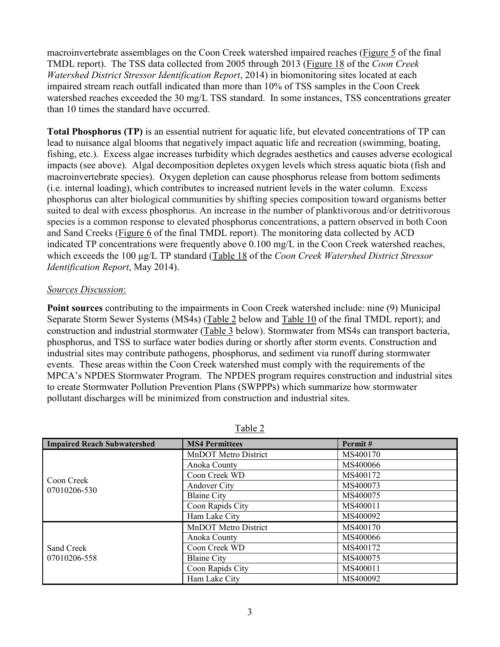macroinvertebrate assemblages on the Coon Creek watershed impaired reaches (Figure 5 of the final TMDL report). The TSS data collected from 2005 through 2013 (Figure 18 of the *Coon Creek Watershed District Stressor Identification Report*, 2014) in biomonitoring sites located at each impaired stream reach outfall indicated than more than 10% of TSS samples in the Coon Creek watershed reaches exceeded the 30 mg/L TSS standard. In some instances, TSS concentrations greater than 10 times the standard have occurred.

**Total Phosphorus (TP)** is an essential nutrient for aquatic life, but elevated concentrations of TP can lead to nuisance algal blooms that negatively impact aquatic life and recreation (swimming, boating, fishing, etc.). Excess algae increases turbidity which degrades aesthetics and causes adverse ecological impacts (see above). Algal decomposition depletes oxygen levels which stress aquatic biota (fish and macroinvertebrate species). Oxygen depletion can cause phosphorus release from bottom sediments (i.e. internal loading), which contributes to increased nutrient levels in the water column. Excess phosphorus can alter biological communities by shifting species composition toward organisms better suited to deal with excess phosphorus. An increase in the number of planktivorous and/or detritivorous species is a common response to elevated phosphorus concentrations, a pattern observed in both Coon and Sand Creeks (Figure 6 of the final TMDL report). The monitoring data collected by ACD indicated TP concentrations were frequently above 0.100 mg/L in the Coon Creek watershed reaches, which exceeds the 100 µg/L TP standard (Table 18 of the *Coon Creek Watershed District Stressor Identification Report*, May 2014).

### *Sources Discussion*:

**Point sources** contributing to the impairments in Coon Creek watershed include: nine (9) Municipal Separate Storm Sewer Systems (MS4s) (Table 2 below and Table 10 of the final TMDL report); and construction and industrial stormwater (Table 3 below). Stormwater from MS4s can transport bacteria, phosphorus, and TSS to surface water bodies during or shortly after storm events. Construction and industrial sites may contribute pathogens, phosphorus, and sediment via runoff during stormwater events. These areas within the Coon Creek watershed must comply with the requirements of the MPCA's NPDES Stormwater Program. The NPDES program requires construction and industrial sites to create Stormwater Pollution Prevention Plans (SWPPPs) which summarize how stormwater pollutant discharges will be minimized from construction and industrial sites.

| <b>Impaired Reach Subwatershed</b> | <b>MS4 Permittees</b> | Permit#                                                                                      |
|------------------------------------|-----------------------|----------------------------------------------------------------------------------------------|
|                                    | MnDOT Metro District  | MS400170                                                                                     |
| Coon Creek<br>07010206-530         | Anoka County          | MS400066                                                                                     |
|                                    | Coon Creek WD         | MS400172                                                                                     |
|                                    | Andover City          | MS400073<br>MS400075<br>MS400011<br>MS400092<br>MS400170<br>MS400066<br>MS400172<br>MS400075 |
|                                    | <b>Blaine City</b>    |                                                                                              |
|                                    | Coon Rapids City      |                                                                                              |
|                                    | Ham Lake City         |                                                                                              |
|                                    | MnDOT Metro District  |                                                                                              |
|                                    | Anoka County          |                                                                                              |
| Sand Creek                         | Coon Creek WD         |                                                                                              |
| 07010206-558                       | <b>Blaine City</b>    |                                                                                              |
|                                    | Coon Rapids City      | MS400011                                                                                     |
|                                    | Ham Lake City         | MS400092                                                                                     |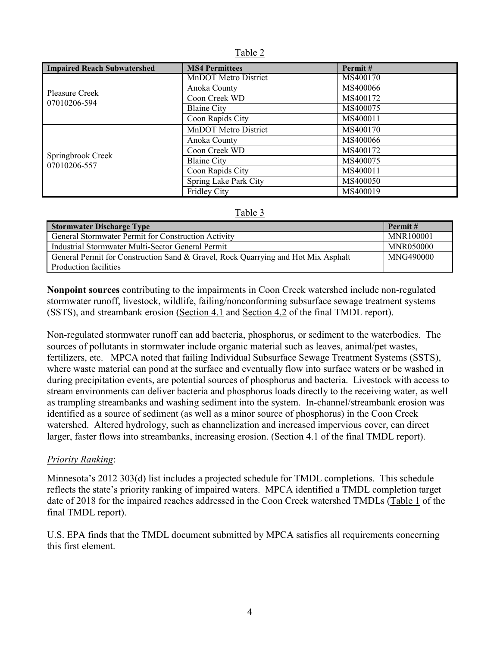|--|

| <b>Impaired Reach Subwatershed</b> | <b>MS4 Permittees</b>                                                          | Permit#                                                                                                                          |
|------------------------------------|--------------------------------------------------------------------------------|----------------------------------------------------------------------------------------------------------------------------------|
|                                    | <b>MnDOT</b> Metro District                                                    | MS400170                                                                                                                         |
| <b>Pleasure Creek</b>              | Anoka County                                                                   | MS400066<br>MS400172<br>MS400075<br>MS400011<br>MS400170<br>MS400066<br>MS400172<br>MS400075<br>MS400011<br>MS400050<br>MS400019 |
| 07010206-594                       | Coon Creek WD                                                                  |                                                                                                                                  |
|                                    | <b>Blaine City</b><br>Coon Rapids City<br>MnDOT Metro District<br>Anoka County |                                                                                                                                  |
|                                    |                                                                                |                                                                                                                                  |
|                                    |                                                                                |                                                                                                                                  |
|                                    |                                                                                |                                                                                                                                  |
|                                    | Coon Creek WD                                                                  |                                                                                                                                  |
| Springbrook Creek<br>07010206-557  | <b>Blaine City</b>                                                             |                                                                                                                                  |
|                                    | Coon Rapids City                                                               |                                                                                                                                  |
|                                    | Spring Lake Park City                                                          |                                                                                                                                  |
|                                    | <b>Fridley City</b>                                                            |                                                                                                                                  |

| c. |  |
|----|--|
|    |  |

| <b>Stormwater Discharge Type</b>                                                  | Permit#          |
|-----------------------------------------------------------------------------------|------------------|
| General Stormwater Permit for Construction Activity                               | MNR100001        |
| Industrial Stormwater Multi-Sector General Permit                                 | <b>MNR050000</b> |
| General Permit for Construction Sand & Gravel, Rock Quarrying and Hot Mix Asphalt | MNG490000        |
| Production facilities                                                             |                  |

**Nonpoint sources** contributing to the impairments in Coon Creek watershed include non-regulated stormwater runoff, livestock, wildlife, failing/nonconforming subsurface sewage treatment systems (SSTS), and streambank erosion (Section 4.1 and Section 4.2 of the final TMDL report).

Non-regulated stormwater runoff can add bacteria, phosphorus, or sediment to the waterbodies. The sources of pollutants in stormwater include organic material such as leaves, animal/pet wastes, fertilizers, etc. MPCA noted that failing Individual Subsurface Sewage Treatment Systems (SSTS), where waste material can pond at the surface and eventually flow into surface waters or be washed in during precipitation events, are potential sources of phosphorus and bacteria. Livestock with access to stream environments can deliver bacteria and phosphorus loads directly to the receiving water, as well as trampling streambanks and washing sediment into the system. In-channel/streambank erosion was identified as a source of sediment (as well as a minor source of phosphorus) in the Coon Creek watershed. Altered hydrology, such as channelization and increased impervious cover, can direct larger, faster flows into streambanks, increasing erosion. (Section 4.1 of the final TMDL report).

## *Priority Ranking*:

Minnesota's 2012 303(d) list includes a projected schedule for TMDL completions. This schedule reflects the state's priority ranking of impaired waters. MPCA identified a TMDL completion target date of 2018 for the impaired reaches addressed in the Coon Creek watershed TMDLs (Table 1 of the final TMDL report).

U.S. EPA finds that the TMDL document submitted by MPCA satisfies all requirements concerning this first element.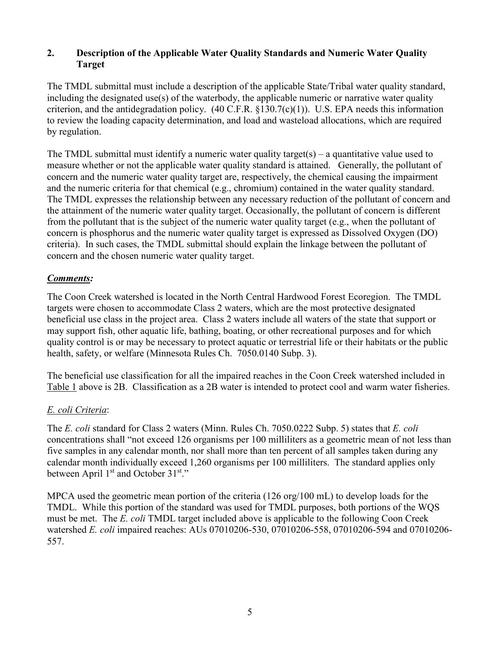## **2. Description of the Applicable Water Quality Standards and Numeric Water Quality Target**

The TMDL submittal must include a description of the applicable State/Tribal water quality standard, including the designated use(s) of the waterbody, the applicable numeric or narrative water quality criterion, and the antidegradation policy.  $(40 \text{ C.F.R. } §130.7(c)(1))$ . U.S. EPA needs this information to review the loading capacity determination, and load and wasteload allocations, which are required by regulation.

The TMDL submittal must identify a numeric water quality target(s) – a quantitative value used to measure whether or not the applicable water quality standard is attained. Generally, the pollutant of concern and the numeric water quality target are, respectively, the chemical causing the impairment and the numeric criteria for that chemical (e.g., chromium) contained in the water quality standard. The TMDL expresses the relationship between any necessary reduction of the pollutant of concern and the attainment of the numeric water quality target. Occasionally, the pollutant of concern is different from the pollutant that is the subject of the numeric water quality target (e.g., when the pollutant of concern is phosphorus and the numeric water quality target is expressed as Dissolved Oxygen (DO) criteria). In such cases, the TMDL submittal should explain the linkage between the pollutant of concern and the chosen numeric water quality target.

## *Comments:*

The Coon Creek watershed is located in the North Central Hardwood Forest Ecoregion. The TMDL targets were chosen to accommodate Class 2 waters, which are the most protective designated beneficial use class in the project area. Class 2 waters include all waters of the state that support or may support fish, other aquatic life, bathing, boating, or other recreational purposes and for which quality control is or may be necessary to protect aquatic or terrestrial life or their habitats or the public health, safety, or welfare (Minnesota Rules Ch. 7050.0140 Subp. 3).

The beneficial use classification for all the impaired reaches in the Coon Creek watershed included in Table 1 above is 2B. Classification as a 2B water is intended to protect cool and warm water fisheries.

# *E. coli Criteria*:

The *E. coli* standard for Class 2 waters (Minn. Rules Ch. 7050.0222 Subp. 5) states that *E. coli* concentrations shall "not exceed 126 organisms per 100 milliliters as a geometric mean of not less than five samples in any calendar month, nor shall more than ten percent of all samples taken during any calendar month individually exceed 1,260 organisms per 100 milliliters. The standard applies only between April 1<sup>st</sup> and October 31<sup>st</sup>."

MPCA used the geometric mean portion of the criteria (126 org/100 mL) to develop loads for the TMDL. While this portion of the standard was used for TMDL purposes, both portions of the WQS must be met. The *E. coli* TMDL target included above is applicable to the following Coon Creek watershed *E. coli* impaired reaches: AUs 07010206-530, 07010206-558, 07010206-594 and 07010206- 557.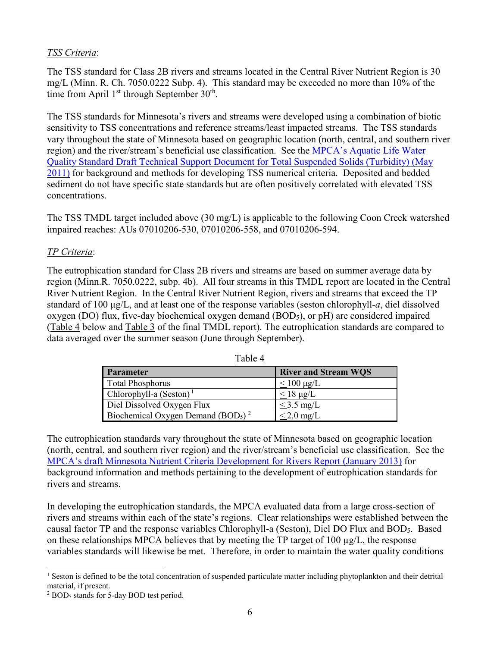## *TSS Criteria*:

The TSS standard for Class 2B rivers and streams located in the Central River Nutrient Region is 30 mg/L (Minn. R. Ch. 7050.0222 Subp. 4). This standard may be exceeded no more than 10% of the time from April  $1<sup>st</sup>$  through September  $30<sup>th</sup>$ .

The TSS standards for Minnesota's rivers and streams were developed using a combination of biotic sensitivity to TSS concentrations and reference streams/least impacted streams. The TSS standards vary throughout the state of Minnesota based on geographic location (north, central, and southern river region) and the river/stream's beneficial use classification. See the MPCA's Aquatic Life Water Quality Standard Draft Technical Support Document for Total Suspended Solids (Turbidity) (May 2011) for background and methods for developing TSS numerical criteria. Deposited and bedded sediment do not have specific state standards but are often positively correlated with elevated TSS concentrations.

The TSS TMDL target included above (30 mg/L) is applicable to the following Coon Creek watershed impaired reaches: AUs 07010206-530, 07010206-558, and 07010206-594.

# *TP Criteria*:

The eutrophication standard for Class 2B rivers and streams are based on summer average data by region (Minn.R. 7050.0222, subp. 4b). All four streams in this TMDL report are located in the Central River Nutrient Region. In the Central River Nutrient Region, rivers and streams that exceed the TP standard of 100 µg/L, and at least one of the response variables (seston chlorophyll-*a*, diel dissolved oxygen (DO) flux, five-day biochemical oxygen demand  $(BOD<sub>5</sub>)$ , or pH) are considered impaired (Table 4 below and Table 3 of the final TMDL report). The eutrophication standards are compared to data averaged over the summer season (June through September).

| Parameter                                                  | <b>River and Stream WOS</b> |
|------------------------------------------------------------|-----------------------------|
| <b>Total Phosphorus</b>                                    | $\leq$ 100 µg/L             |
| Chlorophyll-a $(Seston)^1$                                 | $<$ 18 $\mu$ g/L            |
| Diel Dissolved Oxygen Flux                                 | $\leq$ 3.5 mg/L             |
| Biochemical Oxygen Demand (BOD <sub>5</sub> ) <sup>2</sup> | $< 2.0$ mg/L                |

Table 4

The eutrophication standards vary throughout the state of Minnesota based on geographic location (north, central, and southern river region) and the river/stream's beneficial use classification. See the MPCA's draft Minnesota Nutrient Criteria Development for Rivers Report (January 2013) for background information and methods pertaining to the development of eutrophication standards for rivers and streams.

In developing the eutrophication standards, the MPCA evaluated data from a large cross-section of rivers and streams within each of the state's regions. Clear relationships were established between the causal factor TP and the response variables Chlorophyll-a (Seston), Diel DO Flux and BOD5. Based on these relationships MPCA believes that by meeting the TP target of 100  $\mu$ g/L, the response variables standards will likewise be met. Therefore, in order to maintain the water quality conditions

 $\overline{a}$ <sup>1</sup> Seston is defined to be the total concentration of suspended particulate matter including phytoplankton and their detrital material, if present.

<sup>&</sup>lt;sup>2</sup> BOD<sub>5</sub> stands for 5-day BOD test period.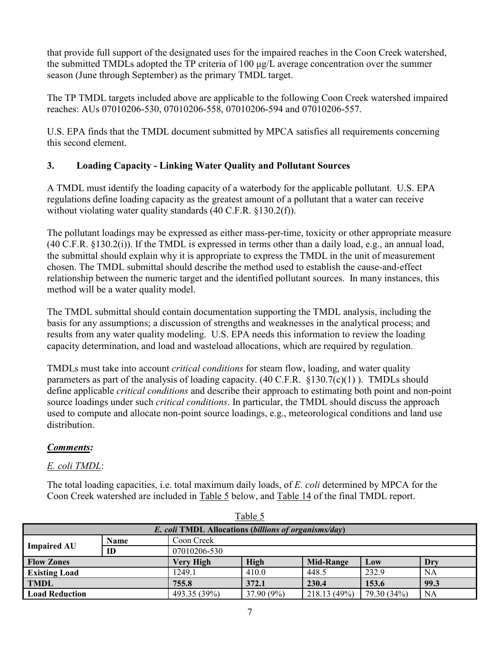that provide full support of the designated uses for the impaired reaches in the Coon Creek watershed, the submitted TMDLs adopted the TP criteria of  $100 \mu g/L$  average concentration over the summer season (June through September) as the primary TMDL target.

The TP TMDL targets included above are applicable to the following Coon Creek watershed impaired reaches: AUs 07010206-530, 07010206-558, 07010206-594 and 07010206-557.

U.S. EPA finds that the TMDL document submitted by MPCA satisfies all requirements concerning this second element.

# **3. Loading Capacity - Linking Water Quality and Pollutant Sources**

A TMDL must identify the loading capacity of a waterbody for the applicable pollutant. U.S. EPA regulations define loading capacity as the greatest amount of a pollutant that a water can receive without violating water quality standards (40 C.F.R. §130.2(f)).

The pollutant loadings may be expressed as either mass-per-time, toxicity or other appropriate measure (40 C.F.R. §130.2(i)). If the TMDL is expressed in terms other than a daily load, e.g., an annual load, the submittal should explain why it is appropriate to express the TMDL in the unit of measurement chosen. The TMDL submittal should describe the method used to establish the cause-and-effect relationship between the numeric target and the identified pollutant sources. In many instances, this method will be a water quality model.

The TMDL submittal should contain documentation supporting the TMDL analysis, including the basis for any assumptions; a discussion of strengths and weaknesses in the analytical process; and results from any water quality modeling. U.S. EPA needs this information to review the loading capacity determination, and load and wasteload allocations, which are required by regulation.

TMDLs must take into account *critical conditions* for steam flow, loading, and water quality parameters as part of the analysis of loading capacity. (40 C.F.R.  $\S 130.7(c)(1)$ ). TMDLs should define applicable *critical conditions* and describe their approach to estimating both point and non-point source loadings under such *critical conditions*. In particular, the TMDL should discuss the approach used to compute and allocate non-point source loadings, e.g., meteorological conditions and land use distribution.

# *Comments:*

# *E. coli TMDL*:

The total loading capacities, i.e. total maximum daily loads, of *E. coli* determined by MPCA for the Coon Creek watershed are included in Table 5 below, and Table 14 of the final TMDL report.

| rabie 5               |                                                                      |              |             |                  |             |      |  |
|-----------------------|----------------------------------------------------------------------|--------------|-------------|------------------|-------------|------|--|
|                       | <i>E. coli</i> TMDL Allocations ( <i>billions of organisms/day</i> ) |              |             |                  |             |      |  |
| <b>Impaired AU</b>    | <b>Name</b>                                                          | Coon Creek   |             |                  |             |      |  |
|                       | ID                                                                   | 07010206-530 |             |                  |             |      |  |
| <b>Flow Zones</b>     |                                                                      | Very High    | <b>High</b> | <b>Mid-Range</b> | Low         | Dry  |  |
| <b>Existing Load</b>  |                                                                      | 1249.1       | 410.0       | 448.5            | 232.9       | NA   |  |
| <b>TMDL</b>           |                                                                      | 755.8        | 372.1       | 230.4            | 153.6       | 99.3 |  |
| <b>Load Reduction</b> |                                                                      | 493.35 (39%) | 37.90 (9%)  | 218.13(49%)      | 79.30 (34%) | NA   |  |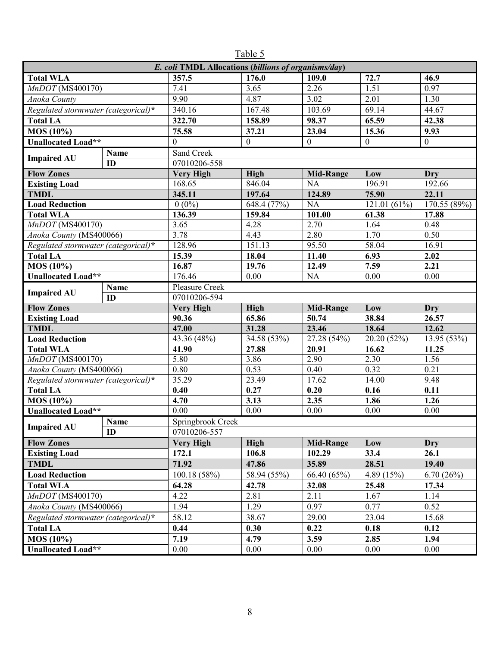| E. coli TMDL Allocations (billions of organisms/day) |             |                                  |                      |                   |                           |                  |  |  |
|------------------------------------------------------|-------------|----------------------------------|----------------------|-------------------|---------------------------|------------------|--|--|
| <b>Total WLA</b>                                     |             | 357.5                            | $\overline{176.0}$   | 109.0             | 72.7                      | 46.9             |  |  |
| MnDOT (MS400170)                                     |             | $\overline{7.41}$                | 3.65                 | $\overline{2.26}$ | 1.51                      | 0.97             |  |  |
| Anoka County                                         |             | 9.90                             | 4.87                 | 3.02              | 2.01                      | 1.30             |  |  |
| Regulated stormwater (categorical)*                  |             | 340.16                           | 167.48               | 103.69            | 69.14                     | 44.67            |  |  |
| <b>Total LA</b>                                      |             | 322.70                           | 158.89               | 98.37             | 65.59                     | 42.38            |  |  |
| MOS (10%)                                            |             | 75.58                            | 37.21                | 23.04             | 15.36                     | 9.93             |  |  |
| <b>Unallocated Load**</b>                            |             | $\boldsymbol{0}$                 | $\boldsymbol{0}$     | $\boldsymbol{0}$  | $\mathbf{0}$              | $\boldsymbol{0}$ |  |  |
|                                                      | Name        | Sand Creek                       |                      |                   |                           |                  |  |  |
| <b>Impaired AU</b><br>ID                             |             | 07010206-558                     |                      |                   |                           |                  |  |  |
| <b>Flow Zones</b>                                    |             | <b>Very High</b>                 | <b>High</b>          | <b>Mid-Range</b>  | Low                       | Dry              |  |  |
| <b>Existing Load</b>                                 |             | 168.65                           | 846.04               | <b>NA</b>         | 196.91                    | 192.66           |  |  |
| <b>TMDL</b>                                          |             | 345.11                           | 197.64               | 124.89            | 75.90                     | 22.11            |  |  |
| <b>Load Reduction</b>                                |             | $0(0\%)$                         | 648.4 (77%)          | <b>NA</b>         | $\overline{121.01}$ (61%) | 170.55(89%)      |  |  |
| <b>Total WLA</b>                                     |             | 136.39                           | 159.84               | 101.00            | 61.38                     | 17.88            |  |  |
| $MnDOT$ (MS400170)                                   |             | 3.65                             | 4.28                 | 2.70              | 1.64                      | 0.48             |  |  |
| Anoka County (MS400066)                              |             | 3.78                             | 4.43                 | 2.80              | 1.70                      | 0.50             |  |  |
| Regulated stormwater (categorical)*                  |             | 128.96                           | 151.13               | 95.50             | 58.04                     | 16.91            |  |  |
| <b>Total LA</b>                                      |             | 15.39                            | 18.04                | 11.40             | 6.93                      | 2.02             |  |  |
| MOS (10%)                                            |             | 16.87                            | 19.76                | 12.49             | 7.59                      | 2.21             |  |  |
| <b>Unallocated Load**</b>                            |             | 176.46                           | 0.00                 | <b>NA</b>         | 0.00                      | 0.00             |  |  |
| Name<br><b>Impaired AU</b>                           |             | Pleasure Creek                   |                      |                   |                           |                  |  |  |
|                                                      | ID          | 07010206-594                     |                      |                   |                           |                  |  |  |
| <b>Flow Zones</b>                                    |             | <b>Very High</b>                 | <b>High</b>          | <b>Mid-Range</b>  | Low                       | Dry              |  |  |
| <b>Existing Load</b>                                 |             | 90.36                            | 65.86                | 50.74             | 38.84                     | 26.57            |  |  |
| <b>TMDL</b>                                          |             | 47.00                            | 31.28                | 23.46             | 18.64                     | 12.62            |  |  |
| <b>Load Reduction</b>                                |             | 43.36 $(48\%)$                   | 34.58 (53%)          | 27.28 (54%)       | 20.20 (52%)               | 13.95 (53%)      |  |  |
| <b>Total WLA</b>                                     |             | 41.90                            | 27.88                | 20.91             | 16.62                     | 11.25            |  |  |
| MnDOT (MS400170)                                     |             | 5.80                             | 3.86                 | 2.90              | 2.30                      | 1.56             |  |  |
| Anoka County (MS400066)                              |             | 0.80                             | 0.53                 | 0.40              | 0.32                      | 0.21             |  |  |
| Regulated stormwater (categorical)*                  |             | 35.29                            | 23.49                | 17.62             | 14.00                     | 9.48             |  |  |
| <b>Total LA</b>                                      |             | 0.40                             | 0.27                 | 0.20              | 0.16                      | 0.11             |  |  |
| MOS (10%)                                            |             | 4.70                             | 3.13                 | 2.35              | 1.86                      | 1.26             |  |  |
| <b>Unallocated Load**</b>                            |             | 0.00                             | 0.00                 | 0.00              | 0.00                      | 0.00             |  |  |
| <b>Impaired AU</b>                                   | <b>Name</b> | Springbrook Creek                |                      |                   |                           |                  |  |  |
| <b>Flow Zones</b>                                    | ID          | 07010206-557<br><b>Very High</b> |                      |                   |                           |                  |  |  |
|                                                      |             |                                  | <b>High</b>          | <b>Mid-Range</b>  | Low                       | Dry              |  |  |
| <b>Existing Load</b>                                 |             | 172.1<br>71.92                   | 106.8                | 102.29            | 33.4<br>28.51             | 26.1<br>19.40    |  |  |
| <b>TMDL</b>                                          |             |                                  | 47.86<br>58.94 (55%) | 35.89             |                           |                  |  |  |
| <b>Load Reduction</b>                                |             | 100.18 (58%)                     |                      | 66.40 (65%)       | 4.89 (15%)                | 6.70(26%)        |  |  |
| <b>Total WLA</b>                                     |             | 64.28                            | 42.78                | 32.08             | 25.48                     | 17.34            |  |  |
| $\overline{Mn}$ DOT (MS400170)                       |             | 4.22                             | 2.81                 | 2.11              | 1.67                      | 1.14             |  |  |
| Anoka County (MS400066)                              |             | 1.94                             | 1.29                 | 0.97              | 0.77                      | 0.52             |  |  |
| Regulated stormwater (categorical)*                  |             | 58.12                            | 38.67                | 29.00             | 23.04                     | 15.68            |  |  |
| <b>Total LA</b>                                      |             | 0.44                             | 0.30                 | 0.22              | 0.18                      | 0.12             |  |  |
| $MOS(10\%)$                                          |             | 7.19                             | 4.79                 | 3.59              | 2.85                      | 1.94             |  |  |
| Unallocated Load**                                   |             | 0.00                             | 0.00                 | 0.00              | 0.00                      | 0.00             |  |  |

Table 5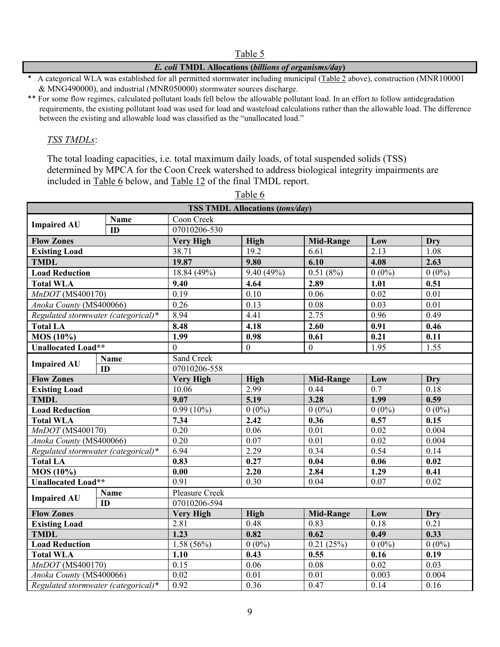#### Table 5

### *E. coli* **TMDL Allocations (***billions of organisms/day***)**

A categorical WLA was established for all permitted stormwater including municipal (Table 2 above), construction (MNR100001 & MNG490000), and industrial (MNR050000) stormwater sources discharge.

\*\* For some flow regimes, calculated pollutant loads fell below the allowable pollutant load. In an effort to follow antidegradation requirements, the existing pollutant load was used for load and wasteload calculations rather than the allowable load. The difference between the existing and allowable load was classified as the "unallocated load."

### *TSS TMDLs*:

The total loading capacities, i.e. total maximum daily loads, of total suspended solids (TSS) determined by MPCA for the Coon Creek watershed to address biological integrity impairments are included in Table 6 below, and Table 12 of the final TMDL report.

| <b>TSS TMDL Allocations (tons/day)</b> |             |                       |                   |                   |                   |                   |  |
|----------------------------------------|-------------|-----------------------|-------------------|-------------------|-------------------|-------------------|--|
|                                        | Name        | Coon Creek            |                   |                   |                   |                   |  |
| <b>Impaired AU</b>                     | ID          | 07010206-530          |                   |                   |                   |                   |  |
| <b>Flow Zones</b>                      |             | <b>Very High</b>      | <b>High</b>       | <b>Mid-Range</b>  | Low               | <b>Dry</b>        |  |
| <b>Existing Load</b>                   |             | 38.71                 | 19.2              | 6.61              | 2.13              | 1.08              |  |
| <b>TMDL</b>                            |             | 19.87                 | 9.80              | 6.10              | 4.08              | 2.63              |  |
| <b>Load Reduction</b>                  |             | 18.84 (49%)           | 9.40(49%)         | 0.51(8%)          | $0(0\%)$          | $0(0\%)$          |  |
| <b>Total WLA</b>                       |             | 9.40                  | 4.64              | 2.89              | 1.01              | 0.51              |  |
| MnDOT (MS400170)                       |             | 0.19                  | 0.10              | 0.06              | 0.02              | 0.01              |  |
| Anoka County (MS400066)                |             | 0.26                  | 0.13              | 0.08              | 0.03              | 0.01              |  |
| Regulated stormwater (categorical)*    |             | 8.94                  | 4.41              | 2.75              | 0.96              | 0.49              |  |
| <b>Total LA</b>                        |             | 8.48                  | 4.18              | 2.60              | 0.91              | 0.46              |  |
| MOS (10%)                              |             | 1.99                  | 0.98              | 0.61              | 0.21              | 0.11              |  |
| <b>Unallocated Load**</b>              |             | $\mathbf{0}$          | $\mathbf{0}$      | $\boldsymbol{0}$  | 1.95              | 1.55              |  |
|                                        | Name        | Sand Creek            |                   |                   |                   |                   |  |
| <b>Impaired AU</b>                     | ID          | 07010206-558          |                   |                   |                   |                   |  |
| <b>Flow Zones</b>                      |             | <b>Very High</b>      | <b>High</b>       | <b>Mid-Range</b>  | Low               | <b>Dry</b>        |  |
| <b>Existing Load</b>                   |             | 10.06                 | 2.99              | 0.44              | 0.7               | 0.18              |  |
| <b>TMDL</b>                            |             | 9.07                  | 5.19              | 3.28              | 1.99              | 0.59              |  |
| <b>Load Reduction</b>                  |             | $0.99(10\%)$          | $0(0\%)$          | $0(0\%)$          | $0(0\%)$          | $0(0\%)$          |  |
| <b>Total WLA</b>                       |             | 7.34                  | 2.42              | 0.36              | 0.57              | 0.15              |  |
| $MnDOT$ (MS400170)                     |             | 0.20                  | 0.06              | 0.01              | $0.\overline{02}$ | 0.004             |  |
| Anoka County (MS400066)                |             | 0.20                  | 0.07              | 0.01              | 0.02              | 0.004             |  |
| Regulated stormwater (categorical)*    |             | 6.94                  | 2.29              | 0.34              | 0.54              | 0.14              |  |
| <b>Total LA</b>                        |             | 0.83                  | 0.27              | 0.04              | 0.06              | 0.02              |  |
| MOS(10%)                               |             | $\overline{0.00}$     | 2.20              | 2.84              | 1.29              | $\overline{0.41}$ |  |
| <b>Unallocated Load**</b>              |             | 0.91                  | 0.30              | 0.04              | 0.07              | 0.02              |  |
| <b>Impaired AU</b>                     | <b>Name</b> | <b>Pleasure Creek</b> |                   |                   |                   |                   |  |
|                                        | ID          | 07010206-594          |                   |                   |                   |                   |  |
| <b>Flow Zones</b>                      |             | <b>Very High</b>      | <b>High</b>       | <b>Mid-Range</b>  | Low               | <b>Dry</b>        |  |
| <b>Existing Load</b>                   |             | 2.81                  | 0.48              | 0.83              | 0.18              | 0.21              |  |
| <b>TMDL</b>                            |             | 1.23                  | 0.82              | 0.62              | 0.49              | 0.33              |  |
| <b>Load Reduction</b>                  |             | 1.58(56%)             | $0(0\%)$          | 0.21(25%)         | $0(0\%)$          | $0(0\%)$          |  |
| <b>Total WLA</b>                       |             | $\overline{1.10}$     | 0.43              | 0.55              | $\overline{0.16}$ | $\overline{0.19}$ |  |
| MnDOT (MS400170)                       |             | 0.15                  | 0.06              | 0.08              | 0.02              | 0.03              |  |
| Anoka County (MS400066)                |             | 0.02                  | $\overline{0.01}$ | $\overline{0.01}$ | 0.003             | 0.004             |  |
| Regulated stormwater (categorical)*    |             | 0.92                  | 0.36              | 0.47              | 0.14              | 0.16              |  |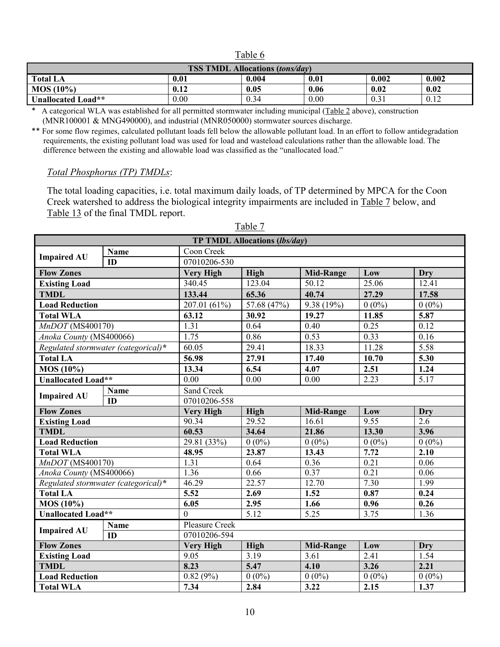| <b>TSS TMDL Allocations (tons/day)</b> |      |       |      |       |       |  |
|----------------------------------------|------|-------|------|-------|-------|--|
| Total LA                               | 0.01 | 0.004 | 0.01 | 0.002 | 0.002 |  |
| $MOS(10\%)$                            | 0.12 | 0.05  | 0.06 | 0.02  | 0.02  |  |
| Unallocated Load**                     | 0.00 | 0.34  | 0.00 | 0.31  | 0.12  |  |

Table 6

\* A categorical WLA was established for all permitted stormwater including municipal (Table 2 above), construction (MNR100001 & MNG490000), and industrial (MNR050000) stormwater sources discharge.

\*\* For some flow regimes, calculated pollutant loads fell below the allowable pollutant load. In an effort to follow antidegradation requirements, the existing pollutant load was used for load and wasteload calculations rather than the allowable load. The difference between the existing and allowable load was classified as the "unallocated load."

## *Total Phosphorus (TP) TMDLs*:

The total loading capacities, i.e. total maximum daily loads, of TP determined by MPCA for the Coon Creek watershed to address the biological integrity impairments are included in Table 7 below, and Table 13 of the final TMDL report.

| <b>TP TMDL Allocations (lbs/day)</b> |                                     |                   |             |                         |          |                   |  |
|--------------------------------------|-------------------------------------|-------------------|-------------|-------------------------|----------|-------------------|--|
| <b>Impaired AU</b>                   | <b>Name</b>                         | Coon Creek        |             |                         |          |                   |  |
| ID                                   |                                     | 07010206-530      |             |                         |          |                   |  |
| <b>Flow Zones</b>                    |                                     | <b>Very High</b>  | High        | <b>Mid-Range</b>        | Low      | <b>Dry</b>        |  |
| <b>Existing Load</b>                 |                                     | 340.45            | 123.04      | 50.12                   | 25.06    | 12.41             |  |
| <b>TMDL</b>                          |                                     | 133.44            | 65.36       | 40.74                   | 27.29    | 17.58             |  |
| <b>Load Reduction</b>                |                                     | 207.01 (61%)      | 57.68 (47%) | $\overline{9.38}$ (19%) | $0(0\%)$ | $0(0\%)$          |  |
| <b>Total WLA</b>                     |                                     | 63.12             | 30.92       | 19.27                   | 11.85    | 5.87              |  |
| MnDOT (MS400170)                     |                                     | 1.31              | 0.64        | 0.40                    | 0.25     | 0.12              |  |
| Anoka County (MS400066)              |                                     | 1.75              | 0.86        | 0.53                    | 0.33     | 0.16              |  |
| Regulated stormwater (categorical)*  |                                     | 60.05             | 29.41       | 18.33                   | 11.28    | 5.58              |  |
| <b>Total LA</b>                      |                                     | 56.98             | 27.91       | 17.40                   | 10.70    | 5.30              |  |
| <b>MOS</b> (10%)                     |                                     | 13.34             | 6.54        | 4.07                    | 2.51     | 1.24              |  |
| <b>Unallocated Load**</b>            |                                     | 0.00              | 0.00        | 0.00                    | 2.23     | 5.17              |  |
|                                      | Name                                | Sand Creek        |             |                         |          |                   |  |
| <b>Impaired AU</b>                   | ID                                  | 07010206-558      |             |                         |          |                   |  |
| <b>Flow Zones</b>                    |                                     | <b>Very High</b>  | <b>High</b> | <b>Mid-Range</b>        | Low      | Dry               |  |
| <b>Existing Load</b>                 |                                     | 90.34             | 29.52       | 16.61                   | 9.55     | $\overline{2.6}$  |  |
| <b>TMDL</b>                          |                                     | 60.53             | 34.64       | 21.86                   | 13.30    | 3.96              |  |
| <b>Load Reduction</b>                |                                     | 29.81 (33%)       | $0(0\%)$    | $0(0\%)$                | $0(0\%)$ | $0(0\%)$          |  |
| <b>Total WLA</b>                     |                                     | 48.95             | 23.87       | 13.43                   | 7.72     | 2.10              |  |
| $MnDOT$ (MS400170)                   |                                     | 1.31              | 0.64        | 0.36                    | 0.21     | 0.06              |  |
| Anoka County (MS400066)              |                                     | 1.36              | 0.66        | 0.37                    | 0.21     | 0.06              |  |
|                                      | Regulated stormwater (categorical)* | 46.29             | 22.57       | 12.70                   | 7.30     | 1.99              |  |
| <b>Total LA</b>                      |                                     | $\overline{5.52}$ | 2.69        | 1.52                    | 0.87     | 0.24              |  |
| <b>MOS</b> (10%)                     |                                     | 6.05              | 2.95        | 1.66                    | 0.96     | $\overline{0.26}$ |  |
| <b>Unallocated Load**</b>            |                                     | $\mathbf{0}$      | 5.12        | 5.25                    | 3.75     | 1.36              |  |
| <b>Impaired AU</b>                   | Name                                | Pleasure Creek    |             |                         |          |                   |  |
| $\overline{ID}$                      |                                     | 07010206-594      |             |                         |          |                   |  |
| <b>Flow Zones</b>                    |                                     | <b>Very High</b>  | <b>High</b> | <b>Mid-Range</b>        | Low      | Dry               |  |
| <b>Existing Load</b>                 |                                     | 9.05              | 3.19        | 3.61                    | 2.41     | 1.54              |  |
| <b>TMDL</b>                          |                                     | 8.23              | 5.47        | 4.10                    | 3.26     | 2.21              |  |
| <b>Load Reduction</b>                |                                     | 0.82(9%)          | $0(0\%)$    | $0(0\%)$                | $0(0\%)$ | $0(0\%)$          |  |
| <b>Total WLA</b>                     |                                     | 7.34              | 2.84        | 3.22                    | 2.15     | 1.37              |  |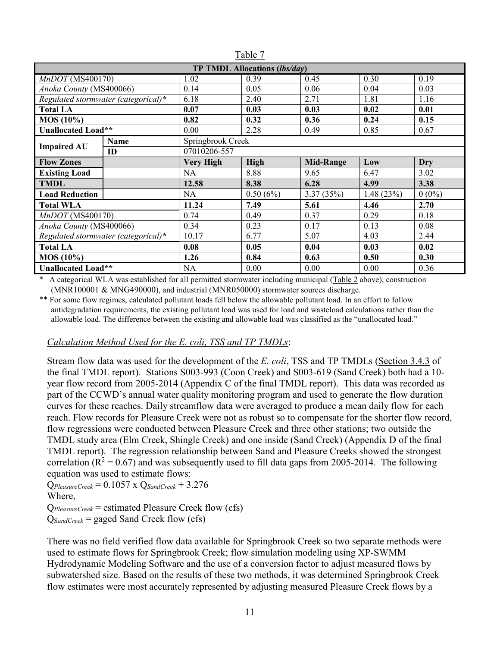| <b>TP TMDL Allocations (lbs/day)</b> |    |                   |             |                  |           |            |  |
|--------------------------------------|----|-------------------|-------------|------------------|-----------|------------|--|
| MnDOT(MS400170)                      |    | 1.02              | 0.39        | 0.45             | 0.30      | 0.19       |  |
| Anoka County (MS400066)              |    | 0.14              | 0.05        | 0.06             | 0.04      | 0.03       |  |
| Regulated stormwater (categorical)*  |    | 6.18              | 2.40        | 2.71             | 1.81      | 1.16       |  |
| <b>Total LA</b>                      |    | 0.07              | 0.03        | 0.03             | 0.02      | 0.01       |  |
| <b>MOS</b> (10%)                     |    | 0.82              | 0.32        | 0.36             | 0.24      | 0.15       |  |
| <b>Unallocated Load**</b>            |    | 0.00              | 2.28        | 0.49             | 0.85      | 0.67       |  |
| <b>Name</b>                          |    | Springbrook Creek |             |                  |           |            |  |
| <b>Impaired AU</b>                   | ID | 07010206-557      |             |                  |           |            |  |
| <b>Flow Zones</b>                    |    | <b>Very High</b>  | <b>High</b> | <b>Mid-Range</b> | Low       | <b>Dry</b> |  |
| <b>Existing Load</b>                 |    | <b>NA</b>         | 8.88        | 9.65             | 6.47      | 3.02       |  |
| <b>TMDL</b>                          |    | 12.58             | 8.38        | 6.28             | 4.99      | 3.38       |  |
| <b>Load Reduction</b>                |    | NA.               | 0.50(6%)    | 3.37(35%)        | 1.48(23%) | $0(0\%)$   |  |
| <b>Total WLA</b>                     |    | 11.24             | 7.49        | 5.61             | 4.46      | 2.70       |  |
| $MnDOT$ (MS400170)                   |    | 0.74              | 0.49        | 0.37             | 0.29      | 0.18       |  |
| Anoka County (MS400066)              |    | 0.34              | 0.23        | 0.17             | 0.13      | 0.08       |  |
| Regulated stormwater (categorical)*  |    | 10.17             | 6.77        | 5.07             | 4.03      | 2.44       |  |
| <b>Total LA</b>                      |    | 0.08              | 0.05        | 0.04             | 0.03      | 0.02       |  |
| <b>MOS</b> (10%)                     |    | 1.26              | 0.84        | 0.63             | 0.50      | 0.30       |  |
| <b>Unallocated Load**</b>            |    | <b>NA</b>         | 0.00        | 0.00             | 0.00      | 0.36       |  |

Table 7

A categorical WLA was established for all permitted stormwater including municipal (Table 2 above), construction (MNR100001 & MNG490000), and industrial (MNR050000) stormwater sources discharge.

\*\* For some flow regimes, calculated pollutant loads fell below the allowable pollutant load. In an effort to follow antidegradation requirements, the existing pollutant load was used for load and wasteload calculations rather than the allowable load. The difference between the existing and allowable load was classified as the "unallocated load."

## *Calculation Method Used for the E. coli, TSS and TP TMDLs*:

Stream flow data was used for the development of the *E. coli*, TSS and TP TMDLs (Section 3.4.3 of the final TMDL report). Stations S003-993 (Coon Creek) and S003-619 (Sand Creek) both had a 10 year flow record from 2005-2014 (Appendix C of the final TMDL report). This data was recorded as part of the CCWD's annual water quality monitoring program and used to generate the flow duration curves for these reaches. Daily streamflow data were averaged to produce a mean daily flow for each reach. Flow records for Pleasure Creek were not as robust so to compensate for the shorter flow record, flow regressions were conducted between Pleasure Creek and three other stations; two outside the TMDL study area (Elm Creek, Shingle Creek) and one inside (Sand Creek) (Appendix D of the final TMDL report). The regression relationship between Sand and Pleasure Creeks showed the strongest correlation ( $R^2 = 0.67$ ) and was subsequently used to fill data gaps from 2005-2014. The following equation was used to estimate flows:

Q*PleasureCreek* = 0.1057 x Q*SandCreek* + 3.276 Where, Q*PleasureCreek* = estimated Pleasure Creek flow (cfs)

QS*andCreek* = gaged Sand Creek flow (cfs)

There was no field verified flow data available for Springbrook Creek so two separate methods were used to estimate flows for Springbrook Creek; flow simulation modeling using XP-SWMM Hydrodynamic Modeling Software and the use of a conversion factor to adjust measured flows by subwatershed size. Based on the results of these two methods, it was determined Springbrook Creek flow estimates were most accurately represented by adjusting measured Pleasure Creek flows by a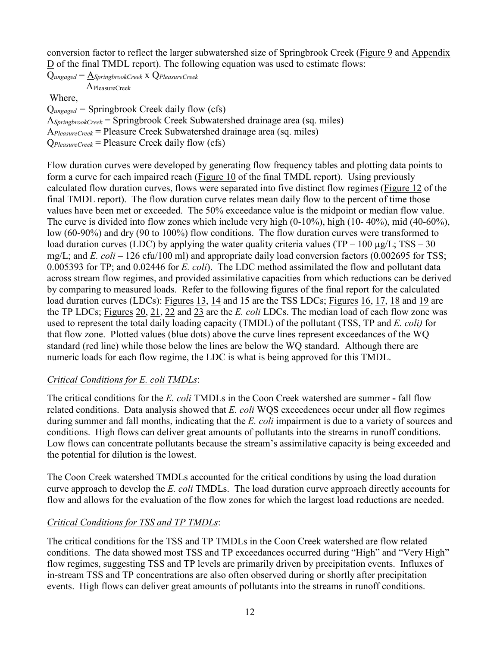conversion factor to reflect the larger subwatershed size of Springbrook Creek (Figure 9 and Appendix D of the final TMDL report). The following equation was used to estimate flows:

Q*ungaged* = A*SpringbrookCreek* x Q*PleasureCreek* APleasureCreek Where, Q*ungaged =* Springbrook Creek daily flow (cfs) A*SpringbrookCreek* = Springbrook Creek Subwatershed drainage area (sq. miles) A*PleasureCreek* = Pleasure Creek Subwatershed drainage area (sq. miles) Q*PleasureCreek* = Pleasure Creek daily flow (cfs)

Flow duration curves were developed by generating flow frequency tables and plotting data points to form a curve for each impaired reach (Figure 10 of the final TMDL report). Using previously calculated flow duration curves, flows were separated into five distinct flow regimes (Figure 12 of the final TMDL report). The flow duration curve relates mean daily flow to the percent of time those values have been met or exceeded. The 50% exceedance value is the midpoint or median flow value. The curve is divided into flow zones which include very high (0-10%), high (10- 40%), mid (40-60%), low (60-90%) and dry (90 to 100%) flow conditions. The flow duration curves were transformed to load duration curves (LDC) by applying the water quality criteria values (TP – 100  $\mu$ g/L; TSS – 30 mg/L; and *E. coli* – 126 cfu/100 ml) and appropriate daily load conversion factors (0.002695 for TSS; 0.005393 for TP; and 0.02446 for *E. coli*). The LDC method assimilated the flow and pollutant data across stream flow regimes, and provided assimilative capacities from which reductions can be derived by comparing to measured loads. Refer to the following figures of the final report for the calculated load duration curves (LDCs): Figures 13, 14 and 15 are the TSS LDCs; Figures 16, 17, 18 and 19 are the TP LDCs; Figures 20, 21, 22 and 23 are the *E. coli* LDCs. The median load of each flow zone was used to represent the total daily loading capacity (TMDL) of the pollutant (TSS, TP and *E. coli)* for that flow zone. Plotted values (blue dots) above the curve lines represent exceedances of the WQ standard (red line) while those below the lines are below the WQ standard. Although there are numeric loads for each flow regime, the LDC is what is being approved for this TMDL.

## *Critical Conditions for E. coli TMDLs*:

The critical conditions for the *E. coli* TMDLs in the Coon Creek watershed are summer **-** fall flow related conditions. Data analysis showed that *E. coli* WQS exceedences occur under all flow regimes during summer and fall months, indicating that the *E. coli* impairment is due to a variety of sources and conditions. High flows can deliver great amounts of pollutants into the streams in runoff conditions. Low flows can concentrate pollutants because the stream's assimilative capacity is being exceeded and the potential for dilution is the lowest.

The Coon Creek watershed TMDLs accounted for the critical conditions by using the load duration curve approach to develop the *E. coli* TMDLs. The load duration curve approach directly accounts for flow and allows for the evaluation of the flow zones for which the largest load reductions are needed.

## *Critical Conditions for TSS and TP TMDLs*:

The critical conditions for the TSS and TP TMDLs in the Coon Creek watershed are flow related conditions. The data showed most TSS and TP exceedances occurred during "High" and "Very High" flow regimes, suggesting TSS and TP levels are primarily driven by precipitation events. Influxes of in-stream TSS and TP concentrations are also often observed during or shortly after precipitation events. High flows can deliver great amounts of pollutants into the streams in runoff conditions.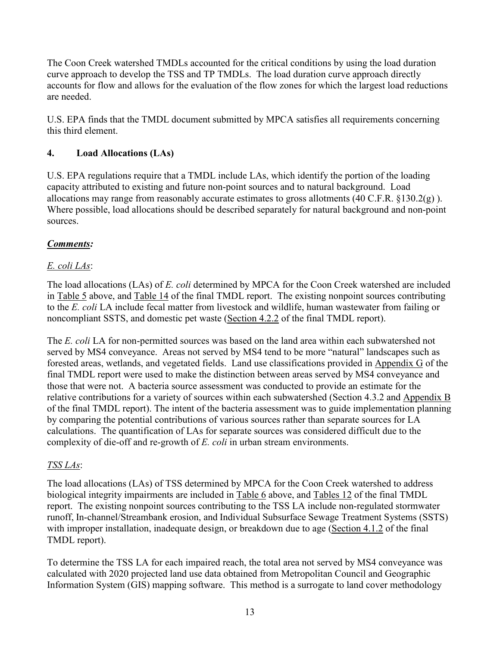The Coon Creek watershed TMDLs accounted for the critical conditions by using the load duration curve approach to develop the TSS and TP TMDLs. The load duration curve approach directly accounts for flow and allows for the evaluation of the flow zones for which the largest load reductions are needed.

U.S. EPA finds that the TMDL document submitted by MPCA satisfies all requirements concerning this third element.

## **4. Load Allocations (LAs)**

U.S. EPA regulations require that a TMDL include LAs, which identify the portion of the loading capacity attributed to existing and future non-point sources and to natural background. Load allocations may range from reasonably accurate estimates to gross allotments (40 C.F.R. §130.2(g) ). Where possible, load allocations should be described separately for natural background and non-point sources.

## *Comments:*

# *E. coli LAs*:

The load allocations (LAs) of *E. coli* determined by MPCA for the Coon Creek watershed are included in Table 5 above, and Table 14 of the final TMDL report. The existing nonpoint sources contributing to the *E. coli* LA include fecal matter from livestock and wildlife, human wastewater from failing or noncompliant SSTS, and domestic pet waste (Section 4.2.2 of the final TMDL report).

The *E. coli* LA for non-permitted sources was based on the land area within each subwatershed not served by MS4 conveyance. Areas not served by MS4 tend to be more "natural" landscapes such as forested areas, wetlands, and vegetated fields. Land use classifications provided in Appendix G of the final TMDL report were used to make the distinction between areas served by MS4 conveyance and those that were not. A bacteria source assessment was conducted to provide an estimate for the relative contributions for a variety of sources within each subwatershed (Section 4.3.2 and Appendix B of the final TMDL report). The intent of the bacteria assessment was to guide implementation planning by comparing the potential contributions of various sources rather than separate sources for LA calculations. The quantification of LAs for separate sources was considered difficult due to the complexity of die-off and re-growth of *E. coli* in urban stream environments.

## *TSS LAs*:

The load allocations (LAs) of TSS determined by MPCA for the Coon Creek watershed to address biological integrity impairments are included in Table 6 above, and Tables 12 of the final TMDL report. The existing nonpoint sources contributing to the TSS LA include non-regulated stormwater runoff, In-channel/Streambank erosion, and Individual Subsurface Sewage Treatment Systems (SSTS) with improper installation, inadequate design, or breakdown due to age (Section 4.1.2 of the final TMDL report).

To determine the TSS LA for each impaired reach, the total area not served by MS4 conveyance was calculated with 2020 projected land use data obtained from Metropolitan Council and Geographic Information System (GIS) mapping software. This method is a surrogate to land cover methodology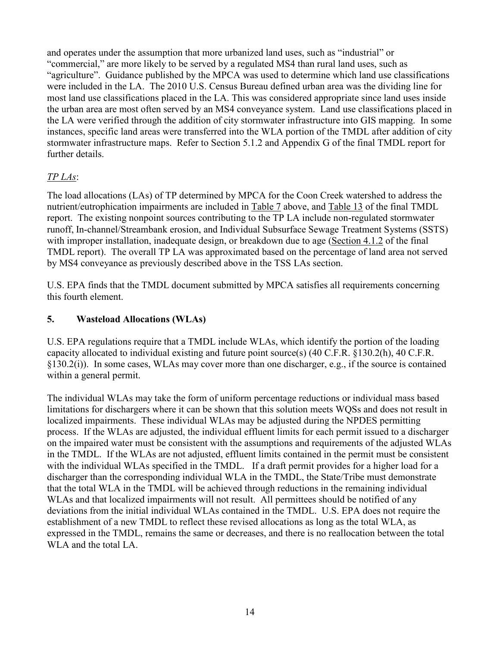and operates under the assumption that more urbanized land uses, such as "industrial" or "commercial," are more likely to be served by a regulated MS4 than rural land uses, such as "agriculture". Guidance published by the MPCA was used to determine which land use classifications were included in the LA. The 2010 U.S. Census Bureau defined urban area was the dividing line for most land use classifications placed in the LA. This was considered appropriate since land uses inside the urban area are most often served by an MS4 conveyance system. Land use classifications placed in the LA were verified through the addition of city stormwater infrastructure into GIS mapping. In some instances, specific land areas were transferred into the WLA portion of the TMDL after addition of city stormwater infrastructure maps. Refer to Section 5.1.2 and Appendix G of the final TMDL report for further details.

## *TP LAs*:

The load allocations (LAs) of TP determined by MPCA for the Coon Creek watershed to address the nutrient/eutrophication impairments are included in Table 7 above, and Table 13 of the final TMDL report. The existing nonpoint sources contributing to the TP LA include non-regulated stormwater runoff, In-channel/Streambank erosion, and Individual Subsurface Sewage Treatment Systems (SSTS) with improper installation, inadequate design, or breakdown due to age (Section 4.1.2 of the final TMDL report). The overall TP LA was approximated based on the percentage of land area not served by MS4 conveyance as previously described above in the TSS LAs section.

U.S. EPA finds that the TMDL document submitted by MPCA satisfies all requirements concerning this fourth element.

## **5. Wasteload Allocations (WLAs)**

U.S. EPA regulations require that a TMDL include WLAs, which identify the portion of the loading capacity allocated to individual existing and future point source(s) (40 C.F.R. §130.2(h), 40 C.F.R. §130.2(i)). In some cases, WLAs may cover more than one discharger, e.g., if the source is contained within a general permit.

The individual WLAs may take the form of uniform percentage reductions or individual mass based limitations for dischargers where it can be shown that this solution meets WQSs and does not result in localized impairments. These individual WLAs may be adjusted during the NPDES permitting process. If the WLAs are adjusted, the individual effluent limits for each permit issued to a discharger on the impaired water must be consistent with the assumptions and requirements of the adjusted WLAs in the TMDL. If the WLAs are not adjusted, effluent limits contained in the permit must be consistent with the individual WLAs specified in the TMDL. If a draft permit provides for a higher load for a discharger than the corresponding individual WLA in the TMDL, the State/Tribe must demonstrate that the total WLA in the TMDL will be achieved through reductions in the remaining individual WLAs and that localized impairments will not result. All permittees should be notified of any deviations from the initial individual WLAs contained in the TMDL. U.S. EPA does not require the establishment of a new TMDL to reflect these revised allocations as long as the total WLA, as expressed in the TMDL, remains the same or decreases, and there is no reallocation between the total WLA and the total LA.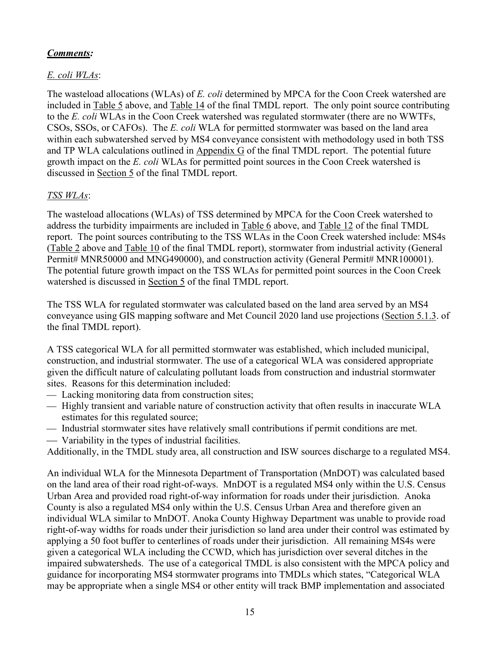# *Comments:*

# *E. coli WLAs*:

The wasteload allocations (WLAs) of *E. coli* determined by MPCA for the Coon Creek watershed are included in Table 5 above, and Table 14 of the final TMDL report. The only point source contributing to the *E. coli* WLAs in the Coon Creek watershed was regulated stormwater (there are no WWTFs, CSOs, SSOs, or CAFOs). The *E. coli* WLA for permitted stormwater was based on the land area within each subwatershed served by MS4 conveyance consistent with methodology used in both TSS and TP WLA calculations outlined in Appendix G of the final TMDL report. The potential future growth impact on the *E. coli* WLAs for permitted point sources in the Coon Creek watershed is discussed in Section 5 of the final TMDL report.

# *TSS WLAs*:

The wasteload allocations (WLAs) of TSS determined by MPCA for the Coon Creek watershed to address the turbidity impairments are included in Table 6 above, and Table 12 of the final TMDL report. The point sources contributing to the TSS WLAs in the Coon Creek watershed include: MS4s (Table 2 above and Table 10 of the final TMDL report), stormwater from industrial activity (General Permit# MNR50000 and MNG490000), and construction activity (General Permit# MNR100001). The potential future growth impact on the TSS WLAs for permitted point sources in the Coon Creek watershed is discussed in Section 5 of the final TMDL report.

The TSS WLA for regulated stormwater was calculated based on the land area served by an MS4 conveyance using GIS mapping software and Met Council 2020 land use projections (Section 5.1.3. of the final TMDL report).

A TSS categorical WLA for all permitted stormwater was established, which included municipal, construction, and industrial stormwater. The use of a categorical WLA was considered appropriate given the difficult nature of calculating pollutant loads from construction and industrial stormwater sites. Reasons for this determination included:

- Lacking monitoring data from construction sites;
- $-$  Highly transient and variable nature of construction activity that often results in inaccurate WLA estimates for this regulated source;
- Industrial stormwater sites have relatively small contributions if permit conditions are met.
- Variability in the types of industrial facilities.

Additionally, in the TMDL study area, all construction and ISW sources discharge to a regulated MS4.

An individual WLA for the Minnesota Department of Transportation (MnDOT) was calculated based on the land area of their road right-of-ways. MnDOT is a regulated MS4 only within the U.S. Census Urban Area and provided road right-of-way information for roads under their jurisdiction. Anoka County is also a regulated MS4 only within the U.S. Census Urban Area and therefore given an individual WLA similar to MnDOT. Anoka County Highway Department was unable to provide road right-of-way widths for roads under their jurisdiction so land area under their control was estimated by applying a 50 foot buffer to centerlines of roads under their jurisdiction. All remaining MS4s were given a categorical WLA including the CCWD, which has jurisdiction over several ditches in the impaired subwatersheds. The use of a categorical TMDL is also consistent with the MPCA policy and guidance for incorporating MS4 stormwater programs into TMDLs which states, "Categorical WLA may be appropriate when a single MS4 or other entity will track BMP implementation and associated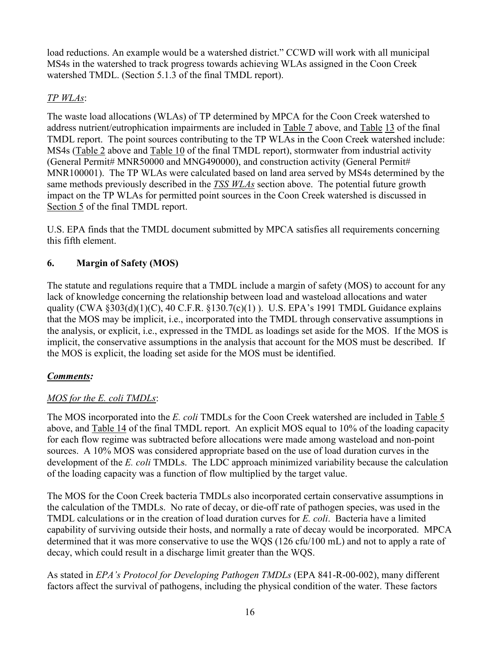load reductions. An example would be a watershed district." CCWD will work with all municipal MS4s in the watershed to track progress towards achieving WLAs assigned in the Coon Creek watershed TMDL. (Section 5.1.3 of the final TMDL report).

# *TP WLAs*:

The waste load allocations (WLAs) of TP determined by MPCA for the Coon Creek watershed to address nutrient/eutrophication impairments are included in Table 7 above, and Table 13 of the final TMDL report. The point sources contributing to the TP WLAs in the Coon Creek watershed include: MS4s (Table 2 above and Table 10 of the final TMDL report), stormwater from industrial activity (General Permit# MNR50000 and MNG490000), and construction activity (General Permit# MNR100001). The TP WLAs were calculated based on land area served by MS4s determined by the same methods previously described in the *TSS WLAs* section above. The potential future growth impact on the TP WLAs for permitted point sources in the Coon Creek watershed is discussed in Section 5 of the final TMDL report.

U.S. EPA finds that the TMDL document submitted by MPCA satisfies all requirements concerning this fifth element.

# **6. Margin of Safety (MOS)**

The statute and regulations require that a TMDL include a margin of safety (MOS) to account for any lack of knowledge concerning the relationship between load and wasteload allocations and water quality (CWA  $\S 303(d)(1)(C)$ , 40 C.F.R.  $\S 130.7(c)(1)$ ). U.S. EPA's 1991 TMDL Guidance explains that the MOS may be implicit, i.e., incorporated into the TMDL through conservative assumptions in the analysis, or explicit, i.e., expressed in the TMDL as loadings set aside for the MOS. If the MOS is implicit, the conservative assumptions in the analysis that account for the MOS must be described. If the MOS is explicit, the loading set aside for the MOS must be identified.

# *Comments:*

# *MOS for the E. coli TMDLs*:

The MOS incorporated into the *E. coli* TMDLs for the Coon Creek watershed are included in Table 5 above, and Table 14 of the final TMDL report. An explicit MOS equal to 10% of the loading capacity for each flow regime was subtracted before allocations were made among wasteload and non-point sources. A 10% MOS was considered appropriate based on the use of load duration curves in the development of the *E. coli* TMDLs. The LDC approach minimized variability because the calculation of the loading capacity was a function of flow multiplied by the target value.

The MOS for the Coon Creek bacteria TMDLs also incorporated certain conservative assumptions in the calculation of the TMDLs. No rate of decay, or die-off rate of pathogen species, was used in the TMDL calculations or in the creation of load duration curves for *E. coli*. Bacteria have a limited capability of surviving outside their hosts, and normally a rate of decay would be incorporated. MPCA determined that it was more conservative to use the WQS (126 cfu/100 mL) and not to apply a rate of decay, which could result in a discharge limit greater than the WQS.

As stated in *EPA's Protocol for Developing Pathogen TMDLs* (EPA 841-R-00-002), many different factors affect the survival of pathogens, including the physical condition of the water. These factors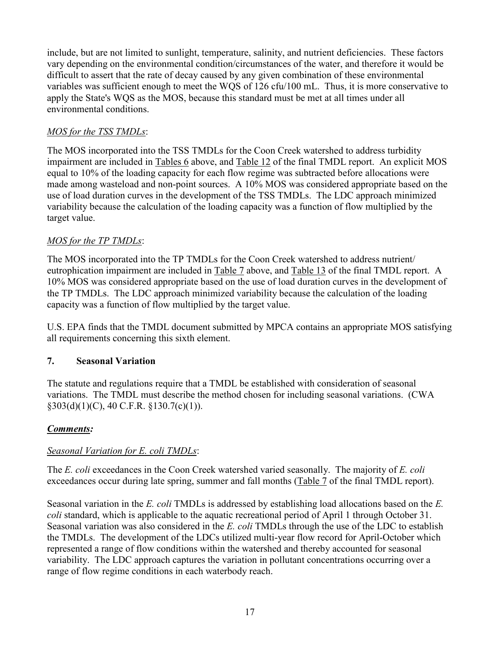include, but are not limited to sunlight, temperature, salinity, and nutrient deficiencies. These factors vary depending on the environmental condition/circumstances of the water, and therefore it would be difficult to assert that the rate of decay caused by any given combination of these environmental variables was sufficient enough to meet the WQS of 126 cfu/100 mL. Thus, it is more conservative to apply the State's WQS as the MOS, because this standard must be met at all times under all environmental conditions.

## *MOS for the TSS TMDLs*:

The MOS incorporated into the TSS TMDLs for the Coon Creek watershed to address turbidity impairment are included in Tables 6 above, and Table 12 of the final TMDL report. An explicit MOS equal to 10% of the loading capacity for each flow regime was subtracted before allocations were made among wasteload and non-point sources. A 10% MOS was considered appropriate based on the use of load duration curves in the development of the TSS TMDLs. The LDC approach minimized variability because the calculation of the loading capacity was a function of flow multiplied by the target value.

## *MOS for the TP TMDLs*:

The MOS incorporated into the TP TMDLs for the Coon Creek watershed to address nutrient/ eutrophication impairment are included in Table 7 above, and Table 13 of the final TMDL report. A 10% MOS was considered appropriate based on the use of load duration curves in the development of the TP TMDLs. The LDC approach minimized variability because the calculation of the loading capacity was a function of flow multiplied by the target value.

U.S. EPA finds that the TMDL document submitted by MPCA contains an appropriate MOS satisfying all requirements concerning this sixth element.

## **7. Seasonal Variation**

The statute and regulations require that a TMDL be established with consideration of seasonal variations. The TMDL must describe the method chosen for including seasonal variations. (CWA  $§303(d)(1)(C)$ , 40 C.F.R.  $§130.7(c)(1)$ .

# *Comments:*

# *Seasonal Variation for E. coli TMDLs*:

The *E. coli* exceedances in the Coon Creek watershed varied seasonally. The majority of *E. coli*  exceedances occur during late spring, summer and fall months (Table 7 of the final TMDL report).

Seasonal variation in the *E. coli* TMDLs is addressed by establishing load allocations based on the *E. coli* standard, which is applicable to the aquatic recreational period of April 1 through October 31. Seasonal variation was also considered in the *E. coli* TMDLs through the use of the LDC to establish the TMDLs. The development of the LDCs utilized multi-year flow record for April-October which represented a range of flow conditions within the watershed and thereby accounted for seasonal variability. The LDC approach captures the variation in pollutant concentrations occurring over a range of flow regime conditions in each waterbody reach.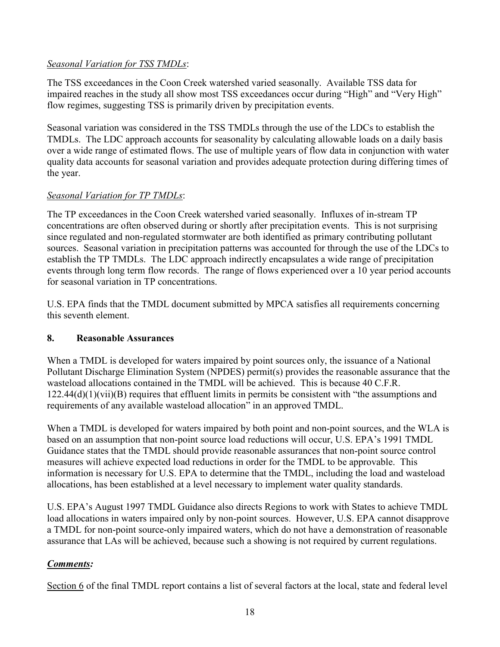## *Seasonal Variation for TSS TMDLs*:

The TSS exceedances in the Coon Creek watershed varied seasonally. Available TSS data for impaired reaches in the study all show most TSS exceedances occur during "High" and "Very High" flow regimes, suggesting TSS is primarily driven by precipitation events.

Seasonal variation was considered in the TSS TMDLs through the use of the LDCs to establish the TMDLs. The LDC approach accounts for seasonality by calculating allowable loads on a daily basis over a wide range of estimated flows. The use of multiple years of flow data in conjunction with water quality data accounts for seasonal variation and provides adequate protection during differing times of the year.

# *Seasonal Variation for TP TMDLs*:

The TP exceedances in the Coon Creek watershed varied seasonally. Influxes of in-stream TP concentrations are often observed during or shortly after precipitation events. This is not surprising since regulated and non-regulated stormwater are both identified as primary contributing pollutant sources. Seasonal variation in precipitation patterns was accounted for through the use of the LDCs to establish the TP TMDLs. The LDC approach indirectly encapsulates a wide range of precipitation events through long term flow records. The range of flows experienced over a 10 year period accounts for seasonal variation in TP concentrations.

U.S. EPA finds that the TMDL document submitted by MPCA satisfies all requirements concerning this seventh element.

# **8. Reasonable Assurances**

When a TMDL is developed for waters impaired by point sources only, the issuance of a National Pollutant Discharge Elimination System (NPDES) permit(s) provides the reasonable assurance that the wasteload allocations contained in the TMDL will be achieved. This is because 40 C.F.R.  $122.44(d)(1)(vii)(B)$  requires that effluent limits in permits be consistent with "the assumptions and requirements of any available wasteload allocation" in an approved TMDL.

When a TMDL is developed for waters impaired by both point and non-point sources, and the WLA is based on an assumption that non-point source load reductions will occur, U.S. EPA's 1991 TMDL Guidance states that the TMDL should provide reasonable assurances that non-point source control measures will achieve expected load reductions in order for the TMDL to be approvable. This information is necessary for U.S. EPA to determine that the TMDL, including the load and wasteload allocations, has been established at a level necessary to implement water quality standards.

U.S. EPA's August 1997 TMDL Guidance also directs Regions to work with States to achieve TMDL load allocations in waters impaired only by non-point sources. However, U.S. EPA cannot disapprove a TMDL for non-point source-only impaired waters, which do not have a demonstration of reasonable assurance that LAs will be achieved, because such a showing is not required by current regulations.

# *Comments:*

Section 6 of the final TMDL report contains a list of several factors at the local, state and federal level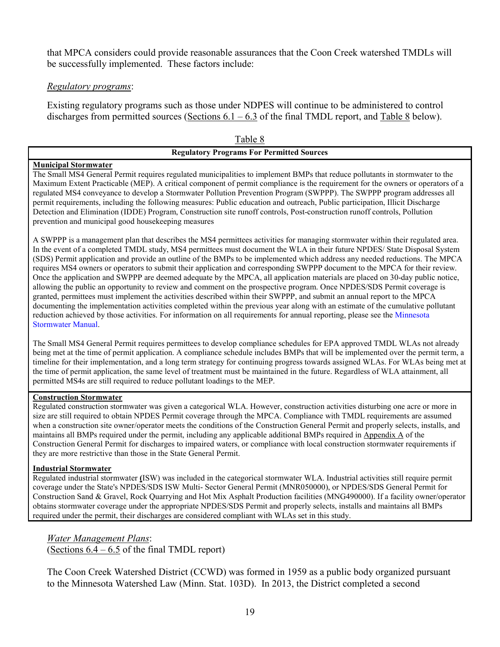that MPCA considers could provide reasonable assurances that the Coon Creek watershed TMDLs will be successfully implemented. These factors include:

### *Regulatory programs*:

Existing regulatory programs such as those under NDPES will continue to be administered to control discharges from permitted sources (Sections  $6.1 - 6.3$  of the final TMDL report, and Table 8 below).

| Table 8                                          |  |
|--------------------------------------------------|--|
| <b>Regulatory Programs For Permitted Sources</b> |  |

### **Municipal Stormwater**

The Small MS4 General Permit requires regulated municipalities to implement BMPs that reduce pollutants in stormwater to the Maximum Extent Practicable (MEP). A critical component of permit compliance is the requirement for the owners or operators of a regulated MS4 conveyance to develop a Stormwater Pollution Prevention Program (SWPPP). The SWPPP program addresses all permit requirements, including the following measures: Public education and outreach, Public participation, Illicit Discharge Detection and Elimination (IDDE) Program, Construction site runoff controls, Post-construction runoff controls, Pollution prevention and municipal good housekeeping measures

A SWPPP is a management plan that describes the MS4 permittees activities for managing stormwater within their regulated area. In the event of a completed TMDL study, MS4 permittees must document the WLA in their future NPDES/ State Disposal System (SDS) Permit application and provide an outline of the BMPs to be implemented which address any needed reductions. The MPCA requires MS4 owners or operators to submit their application and corresponding SWPPP document to the MPCA for their review. Once the application and SWPPP are deemed adequate by the MPCA, all application materials are placed on 30-day public notice, allowing the public an opportunity to review and comment on the prospective program. Once NPDES/SDS Permit coverage is granted, permittees must implement the activities described within their SWPPP, and submit an annual report to the MPCA documenting the implementation activities completed within the previous year along with an estimate of the cumulative pollutant reduction achieved by those activities. For information on all requirements for annual reporting, please see the Minnesota Stormwater Manual.

The Small MS4 General Permit requires permittees to develop compliance schedules for EPA approved TMDL WLAs not already being met at the time of permit application. A compliance schedule includes BMPs that will be implemented over the permit term, a timeline for their implementation, and a long term strategy for continuing progress towards assigned WLAs. For WLAs being met at the time of permit application, the same level of treatment must be maintained in the future. Regardless of WLA attainment, all permitted MS4s are still required to reduce pollutant loadings to the MEP.

### **Construction Stormwater**

Regulated construction stormwater was given a categorical WLA. However, construction activities disturbing one acre or more in size are still required to obtain NPDES Permit coverage through the MPCA. Compliance with TMDL requirements are assumed when a construction site owner/operator meets the conditions of the Construction General Permit and properly selects, installs, and maintains all BMPs required under the permit, including any applicable additional BMPs required in Appendix A of the Construction General Permit for discharges to impaired waters, or compliance with local construction stormwater requirements if they are more restrictive than those in the State General Permit.

### **Industrial Stormwater**

Regulated industrial stormwater **(**ISW) was included in the categorical stormwater WLA. Industrial activities still require permit coverage under the State's NPDES/SDS ISW Multi- Sector General Permit (MNR050000), or NPDES/SDS General Permit for Construction Sand & Gravel, Rock Quarrying and Hot Mix Asphalt Production facilities (MNG490000). If a facility owner/operator obtains stormwater coverage under the appropriate NPDES/SDS Permit and properly selects, installs and maintains all BMPs required under the permit, their discharges are considered compliant with WLAs set in this study.

*Water Management Plans*: (Sections  $6.4 - 6.5$  of the final TMDL report)

The Coon Creek Watershed District (CCWD) was formed in 1959 as a public body organized pursuant to the Minnesota Watershed Law (Minn. Stat. 103D). In 2013, the District completed a second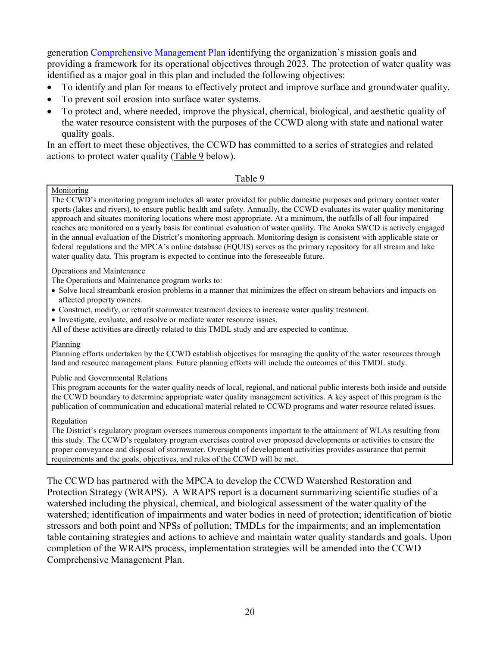generation Comprehensive Management Plan identifying the organization's mission goals and providing a framework for its operational objectives through 2023. The protection of water quality was identified as a major goal in this plan and included the following objectives:

- To identify and plan for means to effectively protect and improve surface and groundwater quality.
- To prevent soil erosion into surface water systems.
- To protect and, where needed, improve the physical, chemical, biological, and aesthetic quality of the water resource consistent with the purposes of the CCWD along with state and national water quality goals.

In an effort to meet these objectives, the CCWD has committed to a series of strategies and related actions to protect water quality (Table 9 below).

### Table 9

### Monitoring

The CCWD's monitoring program includes all water provided for public domestic purposes and primary contact water sports (lakes and rivers), to ensure public health and safety. Annually, the CCWD evaluates its water quality monitoring approach and situates monitoring locations where most appropriate. At a minimum, the outfalls of all four impaired reaches are monitored on a yearly basis for continual evaluation of water quality. The Anoka SWCD is actively engaged in the annual evaluation of the District's monitoring approach. Monitoring design is consistent with applicable state or federal regulations and the MPCA's online database (EQUIS) serves as the primary repository for all stream and lake water quality data. This program is expected to continue into the foreseeable future.

### Operations and Maintenance

The Operations and Maintenance program works to:

- Solve local streambank erosion problems in a manner that minimizes the effect on stream behaviors and impacts on affected property owners.
- Construct, modify, or retrofit stormwater treatment devices to increase water quality treatment.
- Investigate, evaluate, and resolve or mediate water resource issues.

All of these activities are directly related to this TMDL study and are expected to continue.

### Planning

Planning efforts undertaken by the CCWD establish objectives for managing the quality of the water resources through land and resource management plans. Future planning efforts will include the outcomes of this TMDL study.

### Public and Governmental Relations

This program accounts for the water quality needs of local, regional, and national public interests both inside and outside the CCWD boundary to determine appropriate water quality management activities. A key aspect of this program is the publication of communication and educational material related to CCWD programs and water resource related issues.

### Regulation

The District's regulatory program oversees numerous components important to the attainment of WLAs resulting from this study. The CCWD's regulatory program exercises control over proposed developments or activities to ensure the proper conveyance and disposal of stormwater. Oversight of development activities provides assurance that permit requirements and the goals, objectives, and rules of the CCWD will be met.

The CCWD has partnered with the MPCA to develop the CCWD Watershed Restoration and Protection Strategy (WRAPS). A WRAPS report is a document summarizing scientific studies of a watershed including the physical, chemical, and biological assessment of the water quality of the watershed; identification of impairments and water bodies in need of protection; identification of biotic stressors and both point and NPSs of pollution; TMDLs for the impairments; and an implementation table containing strategies and actions to achieve and maintain water quality standards and goals. Upon completion of the WRAPS process, implementation strategies will be amended into the CCWD Comprehensive Management Plan.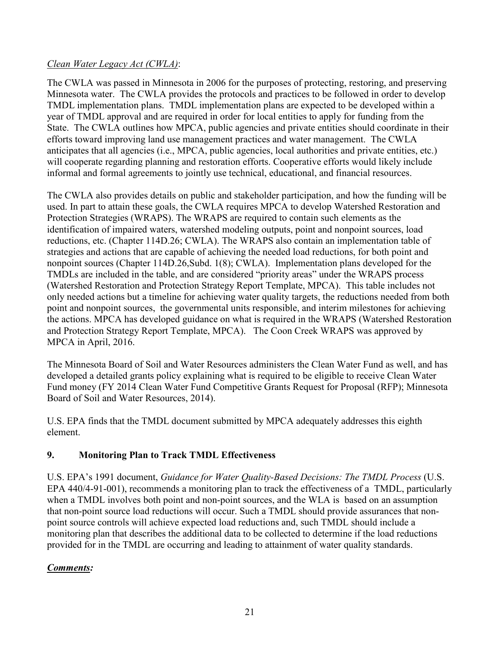## *Clean Water Legacy Act (CWLA)*:

The CWLA was passed in Minnesota in 2006 for the purposes of protecting, restoring, and preserving Minnesota water. The CWLA provides the protocols and practices to be followed in order to develop TMDL implementation plans. TMDL implementation plans are expected to be developed within a year of TMDL approval and are required in order for local entities to apply for funding from the State. The CWLA outlines how MPCA, public agencies and private entities should coordinate in their efforts toward improving land use management practices and water management. The CWLA anticipates that all agencies (i.e., MPCA, public agencies, local authorities and private entities, etc.) will cooperate regarding planning and restoration efforts. Cooperative efforts would likely include informal and formal agreements to jointly use technical, educational, and financial resources.

The CWLA also provides details on public and stakeholder participation, and how the funding will be used. In part to attain these goals, the CWLA requires MPCA to develop Watershed Restoration and Protection Strategies (WRAPS). The WRAPS are required to contain such elements as the identification of impaired waters, watershed modeling outputs, point and nonpoint sources, load reductions, etc. (Chapter 114D.26; CWLA). The WRAPS also contain an implementation table of strategies and actions that are capable of achieving the needed load reductions, for both point and nonpoint sources (Chapter 114D.26,Subd. 1(8); CWLA). Implementation plans developed for the TMDLs are included in the table, and are considered "priority areas" under the WRAPS process (Watershed Restoration and Protection Strategy Report Template, MPCA). This table includes not only needed actions but a timeline for achieving water quality targets, the reductions needed from both point and nonpoint sources, the governmental units responsible, and interim milestones for achieving the actions. MPCA has developed guidance on what is required in the WRAPS (Watershed Restoration and Protection Strategy Report Template, MPCA). The Coon Creek WRAPS was approved by MPCA in April, 2016.

The Minnesota Board of Soil and Water Resources administers the Clean Water Fund as well, and has developed a detailed grants policy explaining what is required to be eligible to receive Clean Water Fund money (FY 2014 Clean Water Fund Competitive Grants Request for Proposal (RFP); Minnesota Board of Soil and Water Resources, 2014).

U.S. EPA finds that the TMDL document submitted by MPCA adequately addresses this eighth element.

# **9. Monitoring Plan to Track TMDL Effectiveness**

U.S. EPA's 1991 document, *Guidance for Water Quality-Based Decisions: The TMDL Process* (U.S. EPA 440/4-91-001), recommends a monitoring plan to track the effectiveness of a TMDL, particularly when a TMDL involves both point and non-point sources, and the WLA is based on an assumption that non-point source load reductions will occur. Such a TMDL should provide assurances that nonpoint source controls will achieve expected load reductions and, such TMDL should include a monitoring plan that describes the additional data to be collected to determine if the load reductions provided for in the TMDL are occurring and leading to attainment of water quality standards.

# *Comments:*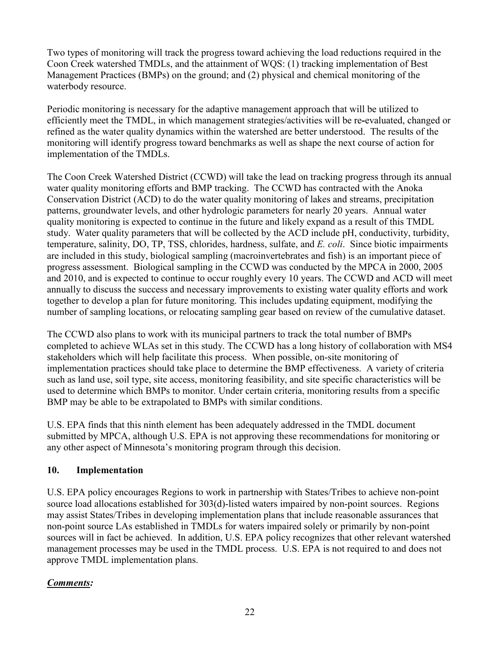Two types of monitoring will track the progress toward achieving the load reductions required in the Coon Creek watershed TMDLs, and the attainment of WQS: (1) tracking implementation of Best Management Practices (BMPs) on the ground; and (2) physical and chemical monitoring of the waterbody resource.

Periodic monitoring is necessary for the adaptive management approach that will be utilized to efficiently meet the TMDL, in which management strategies/activities will be re**-**evaluated, changed or refined as the water quality dynamics within the watershed are better understood. The results of the monitoring will identify progress toward benchmarks as well as shape the next course of action for implementation of the TMDLs.

The Coon Creek Watershed District (CCWD) will take the lead on tracking progress through its annual water quality monitoring efforts and BMP tracking. The CCWD has contracted with the Anoka Conservation District (ACD) to do the water quality monitoring of lakes and streams, precipitation patterns, groundwater levels, and other hydrologic parameters for nearly 20 years. Annual water quality monitoring is expected to continue in the future and likely expand as a result of this TMDL study. Water quality parameters that will be collected by the ACD include pH, conductivity, turbidity, temperature, salinity, DO, TP, TSS, chlorides, hardness, sulfate, and *E. coli*. Since biotic impairments are included in this study, biological sampling (macroinvertebrates and fish) is an important piece of progress assessment. Biological sampling in the CCWD was conducted by the MPCA in 2000, 2005 and 2010, and is expected to continue to occur roughly every 10 years. The CCWD and ACD will meet annually to discuss the success and necessary improvements to existing water quality efforts and work together to develop a plan for future monitoring. This includes updating equipment, modifying the number of sampling locations, or relocating sampling gear based on review of the cumulative dataset.

The CCWD also plans to work with its municipal partners to track the total number of BMPs completed to achieve WLAs set in this study. The CCWD has a long history of collaboration with MS4 stakeholders which will help facilitate this process. When possible, on-site monitoring of implementation practices should take place to determine the BMP effectiveness. A variety of criteria such as land use, soil type, site access, monitoring feasibility, and site specific characteristics will be used to determine which BMPs to monitor. Under certain criteria, monitoring results from a specific BMP may be able to be extrapolated to BMPs with similar conditions.

U.S. EPA finds that this ninth element has been adequately addressed in the TMDL document submitted by MPCA, although U.S. EPA is not approving these recommendations for monitoring or any other aspect of Minnesota's monitoring program through this decision.

# **10. Implementation**

U.S. EPA policy encourages Regions to work in partnership with States/Tribes to achieve non-point source load allocations established for 303(d)-listed waters impaired by non-point sources. Regions may assist States/Tribes in developing implementation plans that include reasonable assurances that non-point source LAs established in TMDLs for waters impaired solely or primarily by non-point sources will in fact be achieved. In addition, U.S. EPA policy recognizes that other relevant watershed management processes may be used in the TMDL process. U.S. EPA is not required to and does not approve TMDL implementation plans.

# *Comments:*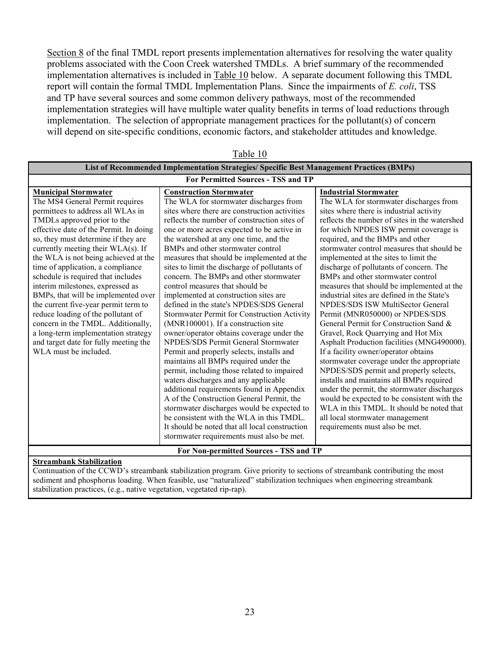Section 8 of the final TMDL report presents implementation alternatives for resolving the water quality problems associated with the Coon Creek watershed TMDLs. A brief summary of the recommended implementation alternatives is included in Table 10 below. A separate document following this TMDL report will contain the formal TMDL Implementation Plans. Since the impairments of *E. coli*, TSS and TP have several sources and some common delivery pathways, most of the recommended implementation strategies will have multiple water quality benefits in terms of load reductions through implementation. The selection of appropriate management practices for the pollutant(s) of concern will depend on site-specific conditions, economic factors, and stakeholder attitudes and knowledge.

| Table To                                                                                                                                                                                                                                                                                                                                                                                                                                                                                                                                                                                                                                                                             |                                                                                                                                                                                                                                                                                                                                                                                                                                                                                                                                                                                                                                                                                                                                                                                                                                                                                                                                                                                                                                                                                                                                                                                                                                                             |                                                                                                                                                                                                                                                                                                                                                                                                                                                                                                                                                                                                                                                                                                                                                                                                                                                                                                                                                                                                                                                                                                                        |  |  |  |  |
|--------------------------------------------------------------------------------------------------------------------------------------------------------------------------------------------------------------------------------------------------------------------------------------------------------------------------------------------------------------------------------------------------------------------------------------------------------------------------------------------------------------------------------------------------------------------------------------------------------------------------------------------------------------------------------------|-------------------------------------------------------------------------------------------------------------------------------------------------------------------------------------------------------------------------------------------------------------------------------------------------------------------------------------------------------------------------------------------------------------------------------------------------------------------------------------------------------------------------------------------------------------------------------------------------------------------------------------------------------------------------------------------------------------------------------------------------------------------------------------------------------------------------------------------------------------------------------------------------------------------------------------------------------------------------------------------------------------------------------------------------------------------------------------------------------------------------------------------------------------------------------------------------------------------------------------------------------------|------------------------------------------------------------------------------------------------------------------------------------------------------------------------------------------------------------------------------------------------------------------------------------------------------------------------------------------------------------------------------------------------------------------------------------------------------------------------------------------------------------------------------------------------------------------------------------------------------------------------------------------------------------------------------------------------------------------------------------------------------------------------------------------------------------------------------------------------------------------------------------------------------------------------------------------------------------------------------------------------------------------------------------------------------------------------------------------------------------------------|--|--|--|--|
| List of Recommended Implementation Strategies/ Specific Best Management Practices (BMPs)                                                                                                                                                                                                                                                                                                                                                                                                                                                                                                                                                                                             |                                                                                                                                                                                                                                                                                                                                                                                                                                                                                                                                                                                                                                                                                                                                                                                                                                                                                                                                                                                                                                                                                                                                                                                                                                                             |                                                                                                                                                                                                                                                                                                                                                                                                                                                                                                                                                                                                                                                                                                                                                                                                                                                                                                                                                                                                                                                                                                                        |  |  |  |  |
| For Permitted Sources - TSS and TP                                                                                                                                                                                                                                                                                                                                                                                                                                                                                                                                                                                                                                                   |                                                                                                                                                                                                                                                                                                                                                                                                                                                                                                                                                                                                                                                                                                                                                                                                                                                                                                                                                                                                                                                                                                                                                                                                                                                             |                                                                                                                                                                                                                                                                                                                                                                                                                                                                                                                                                                                                                                                                                                                                                                                                                                                                                                                                                                                                                                                                                                                        |  |  |  |  |
| <b>Municipal Stormwater</b><br>The MS4 General Permit requires<br>permittees to address all WLAs in<br>TMDLs approved prior to the<br>effective date of the Permit. In doing<br>so, they must determine if they are<br>currently meeting their WLA(s). If<br>the WLA is not being achieved at the<br>time of application, a compliance<br>schedule is required that includes<br>interim milestones, expressed as<br>BMPs, that will be implemented over<br>the current five-year permit term to<br>reduce loading of the pollutant of<br>concern in the TMDL. Additionally,<br>a long-term implementation strategy<br>and target date for fully meeting the<br>WLA must be included. | <b>Construction Stormwater</b><br>The WLA for stormwater discharges from<br>sites where there are construction activities<br>reflects the number of construction sites of<br>one or more acres expected to be active in<br>the watershed at any one time, and the<br>BMPs and other stormwater control<br>measures that should be implemented at the<br>sites to limit the discharge of pollutants of<br>concern. The BMPs and other stormwater<br>control measures that should be<br>implemented at construction sites are<br>defined in the state's NPDES/SDS General<br>Stormwater Permit for Construction Activity<br>(MNR100001). If a construction site<br>owner/operator obtains coverage under the<br>NPDES/SDS Permit General Stormwater<br>Permit and properly selects, installs and<br>maintains all BMPs required under the<br>permit, including those related to impaired<br>waters discharges and any applicable<br>additional requirements found in Appendix<br>A of the Construction General Permit, the<br>stormwater discharges would be expected to<br>be consistent with the WLA in this TMDL.<br>It should be noted that all local construction<br>stormwater requirements must also be met.<br>For Non-permitted Sources - TSS and TP | <b>Industrial Stormwater</b><br>The WLA for stormwater discharges from<br>sites where there is industrial activity<br>reflects the number of sites in the watershed<br>for which NPDES ISW permit coverage is<br>required, and the BMPs and other<br>stormwater control measures that should be<br>implemented at the sites to limit the<br>discharge of pollutants of concern. The<br>BMPs and other stormwater control<br>measures that should be implemented at the<br>industrial sites are defined in the State's<br>NPDES/SDS ISW MultiSector General<br>Permit (MNR050000) or NPDES/SDS<br>General Permit for Construction Sand &<br>Gravel, Rock Quarrying and Hot Mix<br>Asphalt Production facilities (MNG490000).<br>If a facility owner/operator obtains<br>stormwater coverage under the appropriate<br>NPDES/SDS permit and properly selects,<br>installs and maintains all BMPs required<br>under the permit, the stormwater discharges<br>would be expected to be consistent with the<br>WLA in this TMDL. It should be noted that<br>all local stormwater management<br>requirements must also be met. |  |  |  |  |

 $Table 10$ 

#### **Streambank Stabilization**

Continuation of the CCWD's streambank stabilization program. Give priority to sections of streambank contributing the most sediment and phosphorus loading. When feasible, use "naturalized" stabilization techniques when engineering streambank stabilization practices, (e.g., native vegetation, vegetated rip-rap).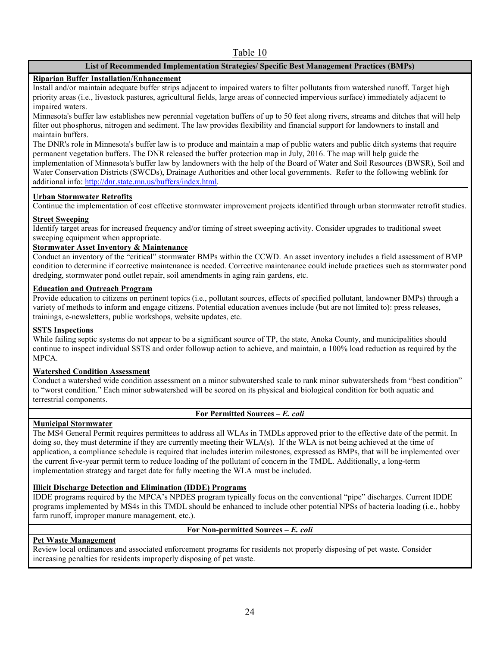### Table 10

### **List of Recommended Implementation Strategies/ Specific Best Management Practices (BMPs)**

### **Riparian Buffer Installation/Enhancement**

Install and/or maintain adequate buffer strips adjacent to impaired waters to filter pollutants from watershed runoff. Target high priority areas (i.e., livestock pastures, agricultural fields, large areas of connected impervious surface) immediately adjacent to impaired waters.

Minnesota's buffer law establishes new perennial vegetation buffers of up to 50 feet along rivers, streams and ditches that will help filter out phosphorus, nitrogen and sediment. The law provides flexibility and financial support for landowners to install and maintain buffers.

The DNR's role in Minnesota's buffer law is to produce and maintain a map of public waters and public ditch systems that require permanent vegetation buffers. The DNR released the buffer protection map in July, 2016. The map will help guide the implementation of Minnesota's buffer law by landowners with the help of the Board of Water and Soil Resources (BWSR), Soil and Water Conservation Districts (SWCDs), Drainage Authorities and other local governments. Refer to the following weblink for additional info: http://dnr.state.mn.us/buffers/index.html.

### **Urban Stormwater Retrofits**

Continue the implementation of cost effective stormwater improvement projects identified through urban stormwater retrofit studies.

### **Street Sweeping**

Identify target areas for increased frequency and/or timing of street sweeping activity. Consider upgrades to traditional sweet sweeping equipment when appropriate.

### **Stormwater Asset Inventory & Maintenance**

Conduct an inventory of the "critical" stormwater BMPs within the CCWD. An asset inventory includes a field assessment of BMP condition to determine if corrective maintenance is needed. Corrective maintenance could include practices such as stormwater pond dredging, stormwater pond outlet repair, soil amendments in aging rain gardens, etc.

#### **Education and Outreach Program**

Provide education to citizens on pertinent topics (i.e., pollutant sources, effects of specified pollutant, landowner BMPs) through a variety of methods to inform and engage citizens. Potential education avenues include (but are not limited to): press releases, trainings, e-newsletters, public workshops, website updates, etc.

#### **SSTS Inspections**

While failing septic systems do not appear to be a significant source of TP, the state, Anoka County, and municipalities should continue to inspect individual SSTS and order followup action to achieve, and maintain, a 100% load reduction as required by the MPCA.

#### **Watershed Condition Assessment**

Conduct a watershed wide condition assessment on a minor subwatershed scale to rank minor subwatersheds from "best condition" to "worst condition." Each minor subwatershed will be scored on its physical and biological condition for both aquatic and terrestrial components.

### **For Permitted Sources –** *E. coli*

### **Municipal Stormwater**

The MS4 General Permit requires permittees to address all WLAs in TMDLs approved prior to the effective date of the permit. In doing so, they must determine if they are currently meeting their WLA(s). If the WLA is not being achieved at the time of application, a compliance schedule is required that includes interim milestones, expressed as BMPs, that will be implemented over the current five-year permit term to reduce loading of the pollutant of concern in the TMDL. Additionally, a long-term implementation strategy and target date for fully meeting the WLA must be included.

### **Illicit Discharge Detection and Elimination (IDDE) Programs**

IDDE programs required by the MPCA's NPDES program typically focus on the conventional "pipe" discharges. Current IDDE programs implemented by MS4s in this TMDL should be enhanced to include other potential NPSs of bacteria loading (i.e., hobby farm runoff, improper manure management, etc.).

#### **For Non-permitted Sources –** *E. coli*

### **Pet Waste Management**

Review local ordinances and associated enforcement programs for residents not properly disposing of pet waste. Consider increasing penalties for residents improperly disposing of pet waste.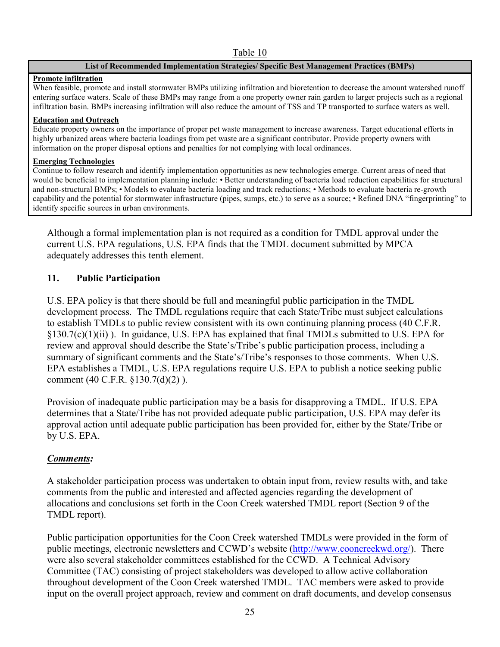### Table 10

### **List of Recommended Implementation Strategies/ Specific Best Management Practices (BMPs)**

### **Promote infiltration**

When feasible, promote and install stormwater BMPs utilizing infiltration and bioretention to decrease the amount watershed runoff entering surface waters. Scale of these BMPs may range from a one property owner rain garden to larger projects such as a regional infiltration basin. BMPs increasing infiltration will also reduce the amount of TSS and TP transported to surface waters as well.

### **Education and Outreach**

Educate property owners on the importance of proper pet waste management to increase awareness. Target educational efforts in highly urbanized areas where bacteria loadings from pet waste are a significant contributor. Provide property owners with information on the proper disposal options and penalties for not complying with local ordinances.

### **Emerging Technologies**

Continue to follow research and identify implementation opportunities as new technologies emerge. Current areas of need that would be beneficial to implementation planning include: • Better understanding of bacteria load reduction capabilities for structural and non-structural BMPs; • Models to evaluate bacteria loading and track reductions; • Methods to evaluate bacteria re-growth capability and the potential for stormwater infrastructure (pipes, sumps, etc.) to serve as a source; • Refined DNA "fingerprinting" to identify specific sources in urban environments.

Although a formal implementation plan is not required as a condition for TMDL approval under the current U.S. EPA regulations, U.S. EPA finds that the TMDL document submitted by MPCA adequately addresses this tenth element.

## **11. Public Participation**

U.S. EPA policy is that there should be full and meaningful public participation in the TMDL development process. The TMDL regulations require that each State/Tribe must subject calculations to establish TMDLs to public review consistent with its own continuing planning process (40 C.F.R. §130.7(c)(1)(ii) ). In guidance, U.S. EPA has explained that final TMDLs submitted to U.S. EPA for review and approval should describe the State's/Tribe's public participation process, including a summary of significant comments and the State's/Tribe's responses to those comments. When U.S. EPA establishes a TMDL, U.S. EPA regulations require U.S. EPA to publish a notice seeking public comment (40 C.F.R. §130.7(d)(2) ).

Provision of inadequate public participation may be a basis for disapproving a TMDL. If U.S. EPA determines that a State/Tribe has not provided adequate public participation, U.S. EPA may defer its approval action until adequate public participation has been provided for, either by the State/Tribe or by U.S. EPA.

## *Comments:*

A stakeholder participation process was undertaken to obtain input from, review results with, and take comments from the public and interested and affected agencies regarding the development of allocations and conclusions set forth in the Coon Creek watershed TMDL report (Section 9 of the TMDL report).

Public participation opportunities for the Coon Creek watershed TMDLs were provided in the form of public meetings, electronic newsletters and CCWD's website (http://www.cooncreekwd.org/). There were also several stakeholder committees established for the CCWD. A Technical Advisory Committee (TAC) consisting of project stakeholders was developed to allow active collaboration throughout development of the Coon Creek watershed TMDL. TAC members were asked to provide input on the overall project approach, review and comment on draft documents, and develop consensus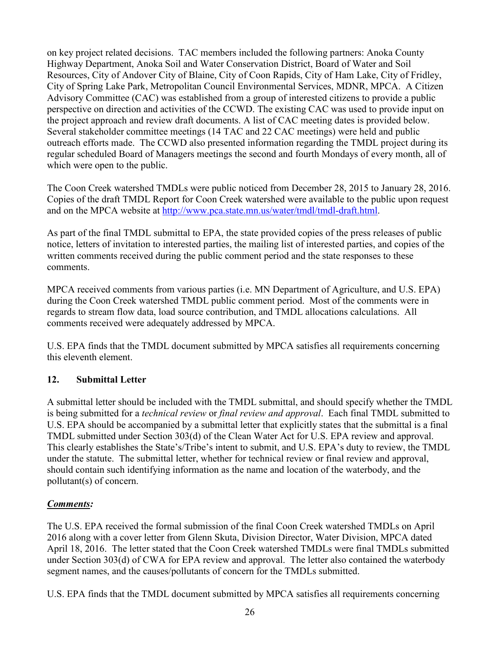on key project related decisions. TAC members included the following partners: Anoka County Highway Department, Anoka Soil and Water Conservation District, Board of Water and Soil Resources, City of Andover City of Blaine, City of Coon Rapids, City of Ham Lake, City of Fridley, City of Spring Lake Park, Metropolitan Council Environmental Services, MDNR, MPCA. A Citizen Advisory Committee (CAC) was established from a group of interested citizens to provide a public perspective on direction and activities of the CCWD. The existing CAC was used to provide input on the project approach and review draft documents. A list of CAC meeting dates is provided below. Several stakeholder committee meetings (14 TAC and 22 CAC meetings) were held and public outreach efforts made. The CCWD also presented information regarding the TMDL project during its regular scheduled Board of Managers meetings the second and fourth Mondays of every month, all of which were open to the public.

The Coon Creek watershed TMDLs were public noticed from December 28, 2015 to January 28, 2016. Copies of the draft TMDL Report for Coon Creek watershed were available to the public upon request and on the MPCA website at http://www.pca.state.mn.us/water/tmdl/tmdl-draft.html.

As part of the final TMDL submittal to EPA, the state provided copies of the press releases of public notice, letters of invitation to interested parties, the mailing list of interested parties, and copies of the written comments received during the public comment period and the state responses to these comments.

MPCA received comments from various parties (i.e. MN Department of Agriculture, and U.S. EPA) during the Coon Creek watershed TMDL public comment period. Most of the comments were in regards to stream flow data, load source contribution, and TMDL allocations calculations. All comments received were adequately addressed by MPCA.

U.S. EPA finds that the TMDL document submitted by MPCA satisfies all requirements concerning this eleventh element.

# **12. Submittal Letter**

A submittal letter should be included with the TMDL submittal, and should specify whether the TMDL is being submitted for a *technical review* or *final review and approval*. Each final TMDL submitted to U.S. EPA should be accompanied by a submittal letter that explicitly states that the submittal is a final TMDL submitted under Section 303(d) of the Clean Water Act for U.S. EPA review and approval. This clearly establishes the State's/Tribe's intent to submit, and U.S. EPA's duty to review, the TMDL under the statute. The submittal letter, whether for technical review or final review and approval, should contain such identifying information as the name and location of the waterbody, and the pollutant(s) of concern.

# *Comments:*

The U.S. EPA received the formal submission of the final Coon Creek watershed TMDLs on April 2016 along with a cover letter from Glenn Skuta, Division Director, Water Division, MPCA dated April 18, 2016. The letter stated that the Coon Creek watershed TMDLs were final TMDLs submitted under Section 303(d) of CWA for EPA review and approval. The letter also contained the waterbody segment names, and the causes/pollutants of concern for the TMDLs submitted.

U.S. EPA finds that the TMDL document submitted by MPCA satisfies all requirements concerning